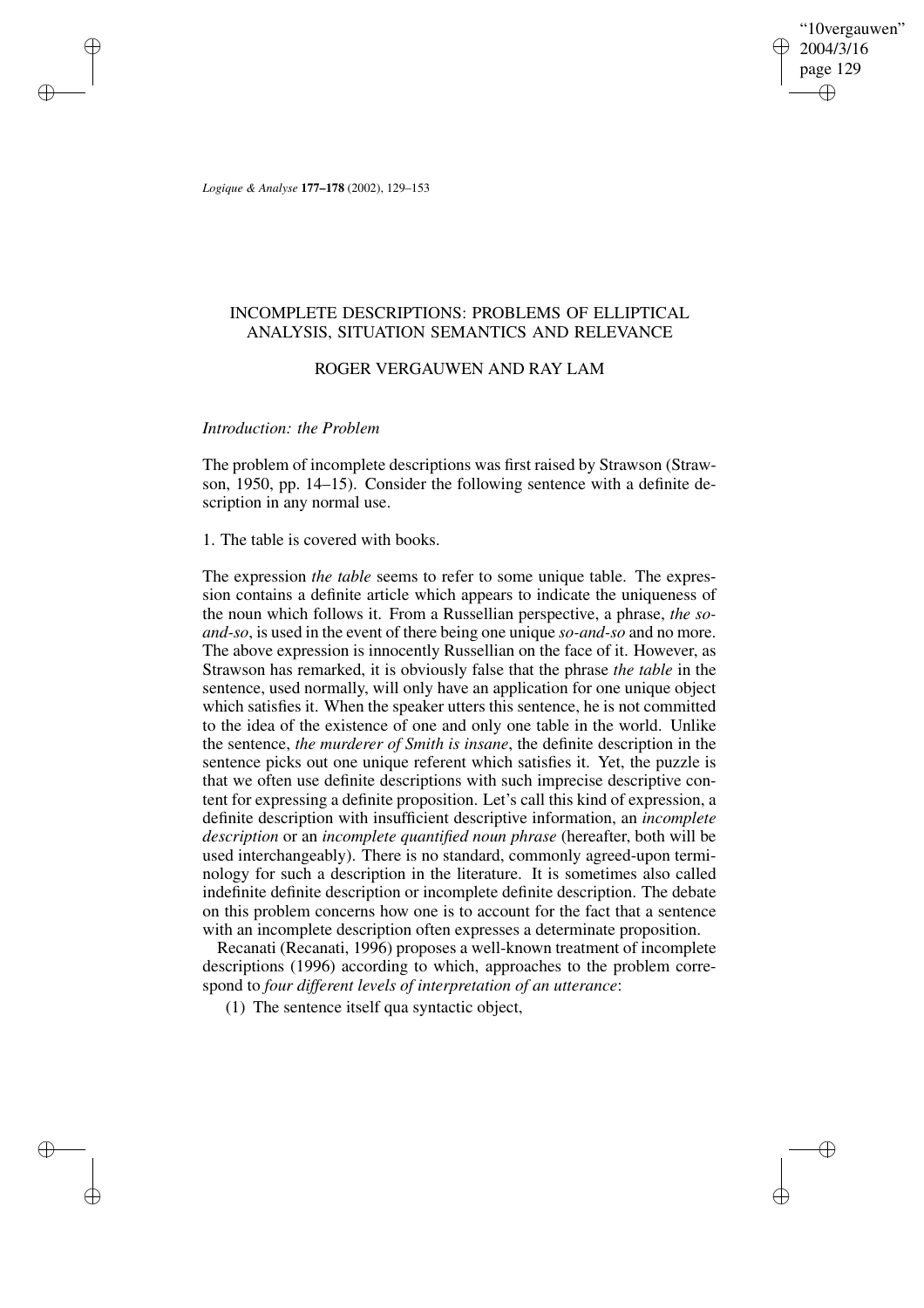"10vergauwen" 2004/3/16 page 129 ✐ ✐

✐

✐

*Logique & Analyse* **177–178** (2002), 129–153

✐

✐

✐

✐

# INCOMPLETE DESCRIPTIONS: PROBLEMS OF ELLIPTICAL ANALYSIS, SITUATION SEMANTICS AND RELEVANCE

# ROGER VERGAUWEN AND RAY LAM

## *Introduction: the Problem*

The problem of incomplete descriptions was first raised by Strawson (Strawson, 1950, pp. 14–15). Consider the following sentence with a definite description in any normal use.

1. The table is covered with books.

The expression *the table* seems to refer to some unique table. The expression contains a definite article which appears to indicate the uniqueness of the noun which follows it. From a Russellian perspective, a phrase, *the soand-so*, is used in the event of there being one unique *so-and-so* and no more. The above expression is innocently Russellian on the face of it. However, as Strawson has remarked, it is obviously false that the phrase *the table* in the sentence, used normally, will only have an application for one unique object which satisfies it. When the speaker utters this sentence, he is not committed to the idea of the existence of one and only one table in the world. Unlike the sentence, *the murderer of Smith is insane*, the definite description in the sentence picks out one unique referent which satisfies it. Yet, the puzzle is that we often use definite descriptions with such imprecise descriptive content for expressing a definite proposition. Let's call this kind of expression, a definite description with insufficient descriptive information, an *incomplete description* or an *incomplete quantified noun phrase* (hereafter, both will be used interchangeably). There is no standard, commonly agreed-upon terminology for such a description in the literature. It is sometimes also called indefinite definite description or incomplete definite description. The debate on this problem concerns how one is to account for the fact that a sentence with an incomplete description often expresses a determinate proposition.

Recanati (Recanati, 1996) proposes a well-known treatment of incomplete descriptions (1996) according to which, approaches to the problem correspond to *four different levels of interpretation of an utterance*:

(1) The sentence itself qua syntactic object,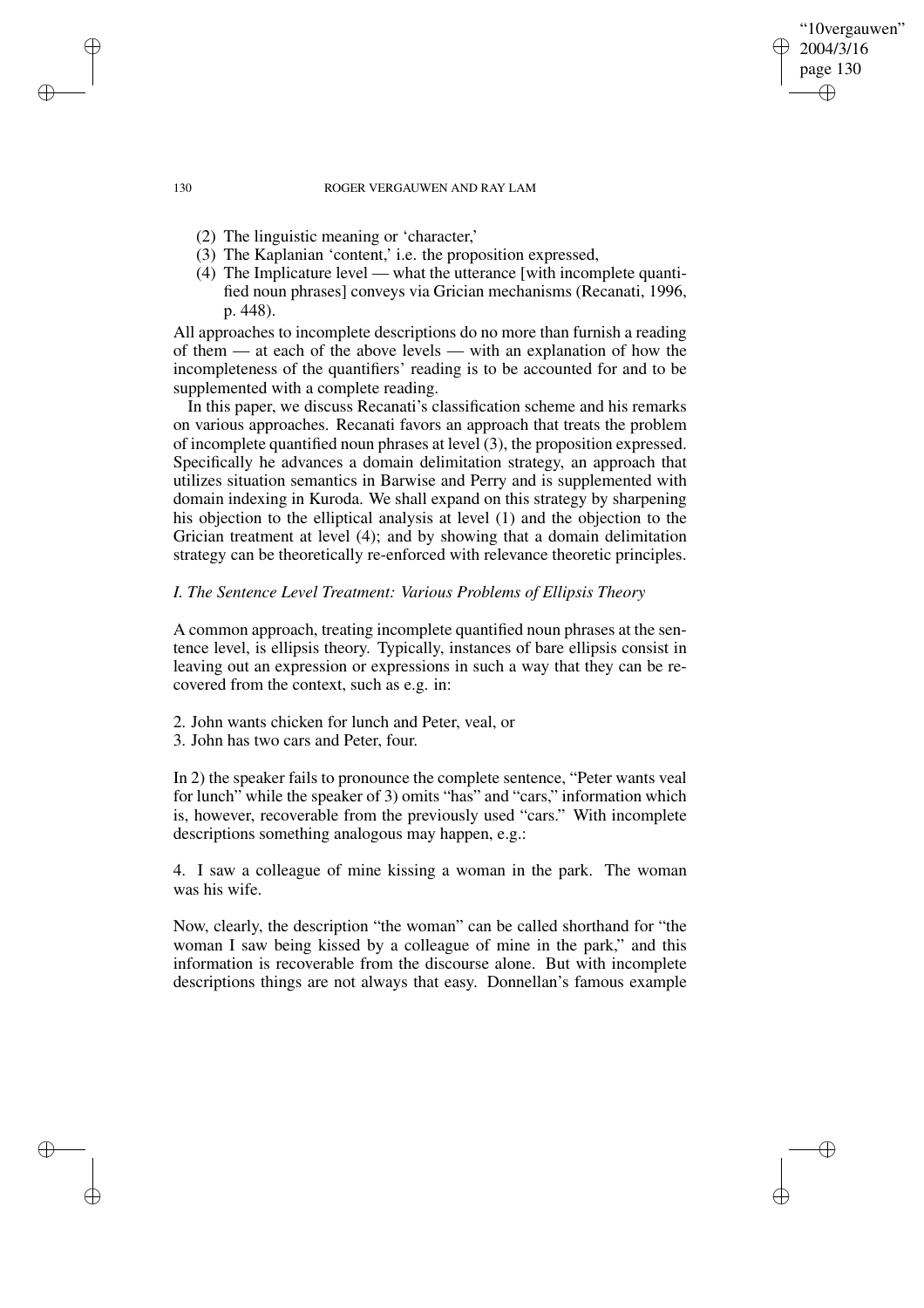"10vergauwen" 2004/3/16 page 130

✐

✐

✐

✐

- (2) The linguistic meaning or 'character,'
- (3) The Kaplanian 'content,' i.e. the proposition expressed,
- (4) The Implicature level what the utterance [with incomplete quantified noun phrases] conveys via Grician mechanisms (Recanati, 1996, p. 448).

All approaches to incomplete descriptions do no more than furnish a reading of them — at each of the above levels — with an explanation of how the incompleteness of the quantifiers' reading is to be accounted for and to be supplemented with a complete reading.

In this paper, we discuss Recanati's classification scheme and his remarks on various approaches. Recanati favors an approach that treats the problem of incomplete quantified noun phrases at level (3), the proposition expressed. Specifically he advances a domain delimitation strategy, an approach that utilizes situation semantics in Barwise and Perry and is supplemented with domain indexing in Kuroda. We shall expand on this strategy by sharpening his objection to the elliptical analysis at level (1) and the objection to the Grician treatment at level (4); and by showing that a domain delimitation strategy can be theoretically re-enforced with relevance theoretic principles.

# *I. The Sentence Level Treatment: Various Problems of Ellipsis Theory*

A common approach, treating incomplete quantified noun phrases at the sentence level, is ellipsis theory. Typically, instances of bare ellipsis consist in leaving out an expression or expressions in such a way that they can be recovered from the context, such as e.g. in:

- 2. John wants chicken for lunch and Peter, veal, or
- 3. John has two cars and Peter, four.

In 2) the speaker fails to pronounce the complete sentence, "Peter wants veal for lunch" while the speaker of 3) omits "has" and "cars," information which is, however, recoverable from the previously used "cars." With incomplete descriptions something analogous may happen, e.g.:

4. I saw a colleague of mine kissing a woman in the park. The woman was his wife.

Now, clearly, the description "the woman" can be called shorthand for "the woman I saw being kissed by a colleague of mine in the park," and this information is recoverable from the discourse alone. But with incomplete descriptions things are not always that easy. Donnellan's famous example

✐

✐

✐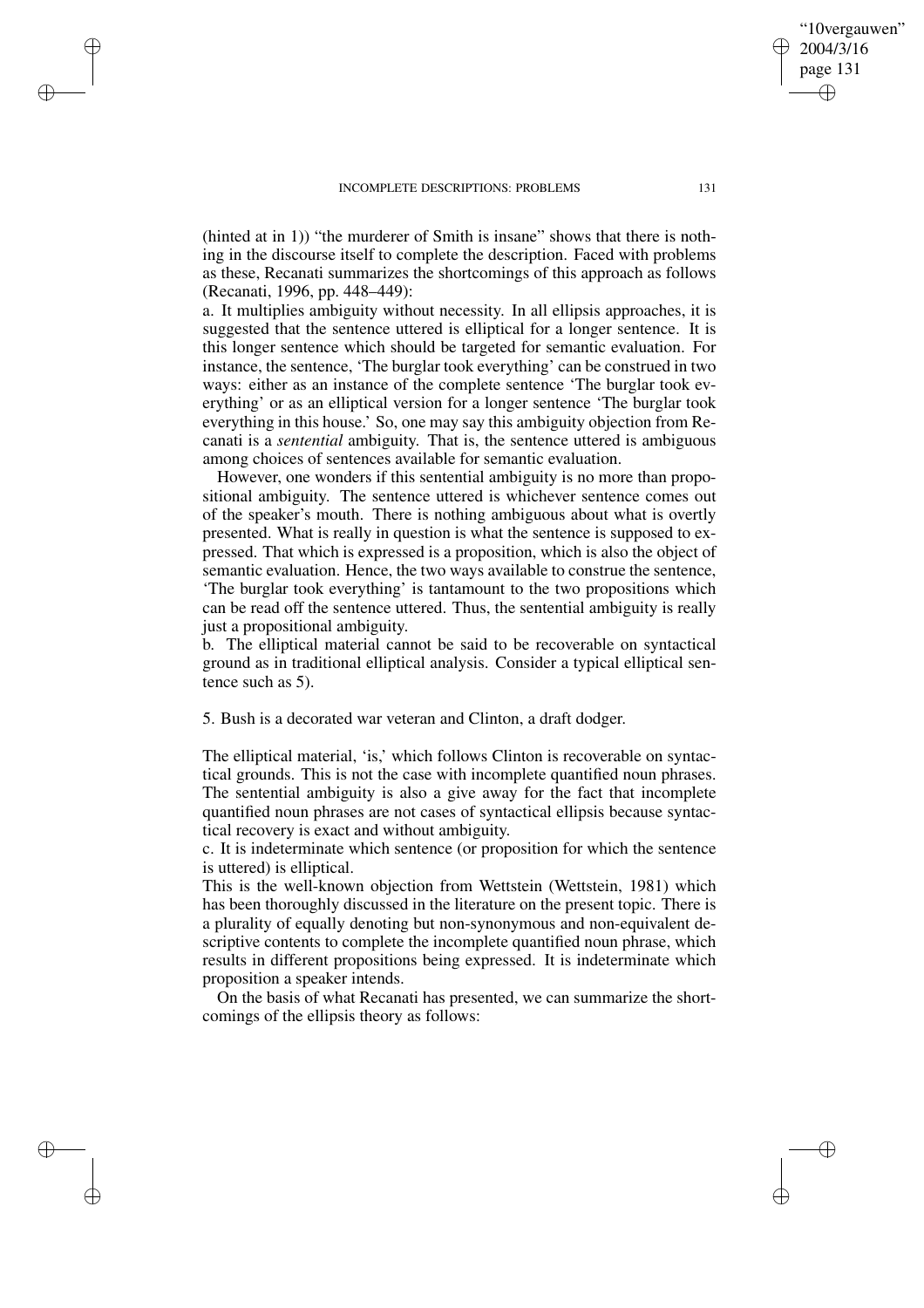✐

✐

✐

✐

(hinted at in 1)) "the murderer of Smith is insane" shows that there is nothing in the discourse itself to complete the description. Faced with problems as these, Recanati summarizes the shortcomings of this approach as follows (Recanati, 1996, pp. 448–449):

a. It multiplies ambiguity without necessity. In all ellipsis approaches, it is suggested that the sentence uttered is elliptical for a longer sentence. It is this longer sentence which should be targeted for semantic evaluation. For instance, the sentence, 'The burglar took everything' can be construed in two ways: either as an instance of the complete sentence 'The burglar took everything' or as an elliptical version for a longer sentence 'The burglar took everything in this house.' So, one may say this ambiguity objection from Recanati is a *sentential* ambiguity. That is, the sentence uttered is ambiguous among choices of sentences available for semantic evaluation.

However, one wonders if this sentential ambiguity is no more than propositional ambiguity. The sentence uttered is whichever sentence comes out of the speaker's mouth. There is nothing ambiguous about what is overtly presented. What is really in question is what the sentence is supposed to expressed. That which is expressed is a proposition, which is also the object of semantic evaluation. Hence, the two ways available to construe the sentence, 'The burglar took everything' is tantamount to the two propositions which can be read off the sentence uttered. Thus, the sentential ambiguity is really just a propositional ambiguity.

b. The elliptical material cannot be said to be recoverable on syntactical ground as in traditional elliptical analysis. Consider a typical elliptical sentence such as 5).

5. Bush is a decorated war veteran and Clinton, a draft dodger.

The elliptical material, 'is,' which follows Clinton is recoverable on syntactical grounds. This is not the case with incomplete quantified noun phrases. The sentential ambiguity is also a give away for the fact that incomplete quantified noun phrases are not cases of syntactical ellipsis because syntactical recovery is exact and without ambiguity.

c. It is indeterminate which sentence (or proposition for which the sentence is uttered) is elliptical.

This is the well-known objection from Wettstein (Wettstein, 1981) which has been thoroughly discussed in the literature on the present topic. There is a plurality of equally denoting but non-synonymous and non-equivalent descriptive contents to complete the incomplete quantified noun phrase, which results in different propositions being expressed. It is indeterminate which proposition a speaker intends.

On the basis of what Recanati has presented, we can summarize the shortcomings of the ellipsis theory as follows:

"10vergauwen" 2004/3/16 page 131

✐

✐

✐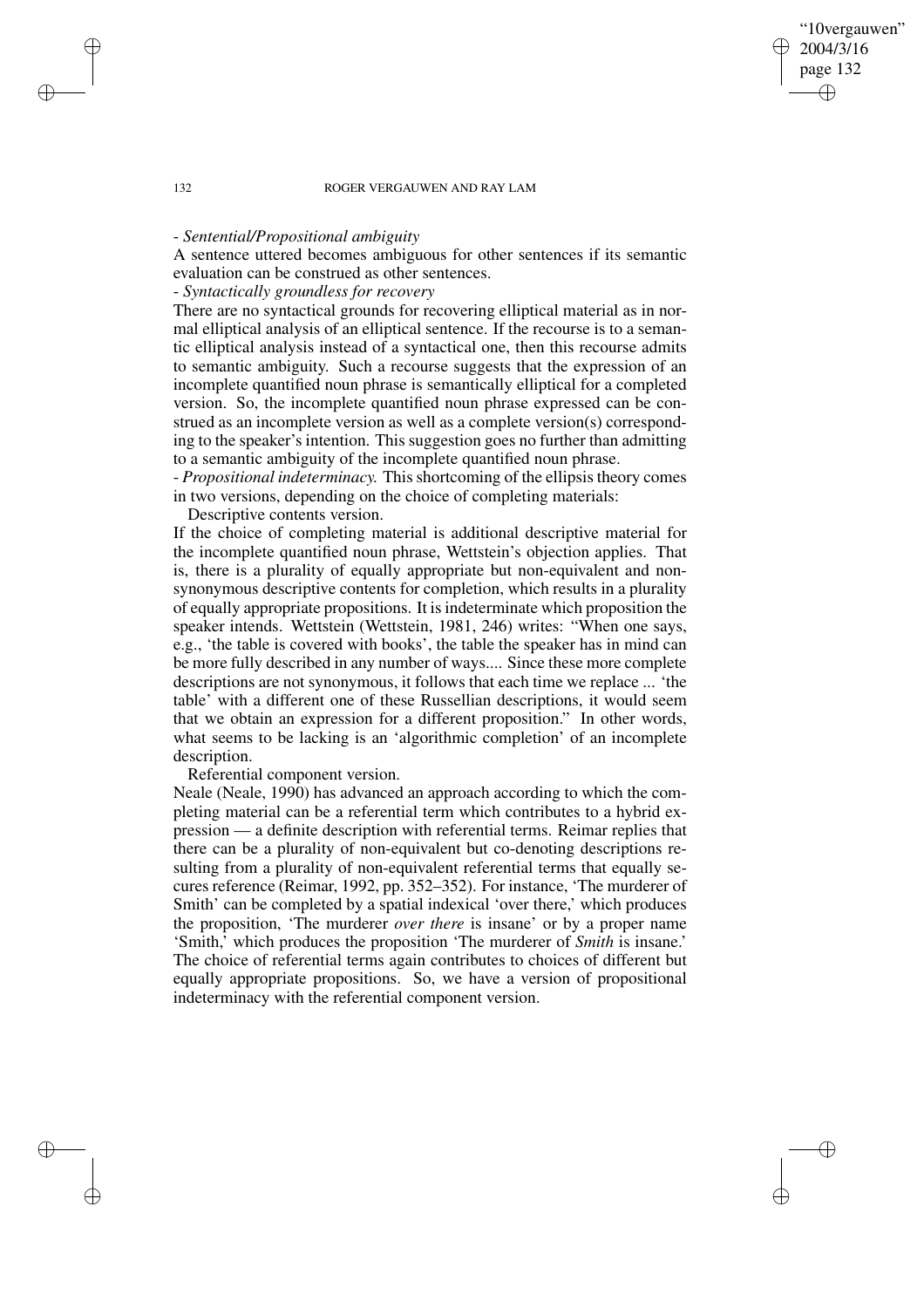"10vergauwen" 2004/3/16 page 132

✐

✐

✐

✐

## - *Sentential/Propositional ambiguity*

A sentence uttered becomes ambiguous for other sentences if its semantic evaluation can be construed as other sentences.

# - *Syntactically groundless for recovery*

There are no syntactical grounds for recovering elliptical material as in normal elliptical analysis of an elliptical sentence. If the recourse is to a semantic elliptical analysis instead of a syntactical one, then this recourse admits to semantic ambiguity. Such a recourse suggests that the expression of an incomplete quantified noun phrase is semantically elliptical for a completed version. So, the incomplete quantified noun phrase expressed can be construed as an incomplete version as well as a complete version(s) corresponding to the speaker's intention. This suggestion goes no further than admitting to a semantic ambiguity of the incomplete quantified noun phrase.

- *Propositional indeterminacy.* This shortcoming of the ellipsis theory comes in two versions, depending on the choice of completing materials:

Descriptive contents version.

If the choice of completing material is additional descriptive material for the incomplete quantified noun phrase, Wettstein's objection applies. That is, there is a plurality of equally appropriate but non-equivalent and nonsynonymous descriptive contents for completion, which results in a plurality of equally appropriate propositions. It isindeterminate which proposition the speaker intends. Wettstein (Wettstein, 1981, 246) writes: "When one says, e.g., 'the table is covered with books', the table the speaker has in mind can be more fully described in any number of ways.... Since these more complete descriptions are not synonymous, it follows that each time we replace ... 'the table' with a different one of these Russellian descriptions, it would seem that we obtain an expression for a different proposition." In other words, what seems to be lacking is an 'algorithmic completion' of an incomplete description.

## Referential component version.

Neale (Neale, 1990) has advanced an approach according to which the completing material can be a referential term which contributes to a hybrid expression — a definite description with referential terms. Reimar replies that there can be a plurality of non-equivalent but co-denoting descriptions resulting from a plurality of non-equivalent referential terms that equally secures reference (Reimar, 1992, pp. 352–352). For instance, 'The murderer of Smith' can be completed by a spatial indexical 'over there,' which produces the proposition, 'The murderer *over there* is insane' or by a proper name 'Smith,' which produces the proposition 'The murderer of *Smith* is insane.' The choice of referential terms again contributes to choices of different but equally appropriate propositions. So, we have a version of propositional indeterminacy with the referential component version.

✐

✐

✐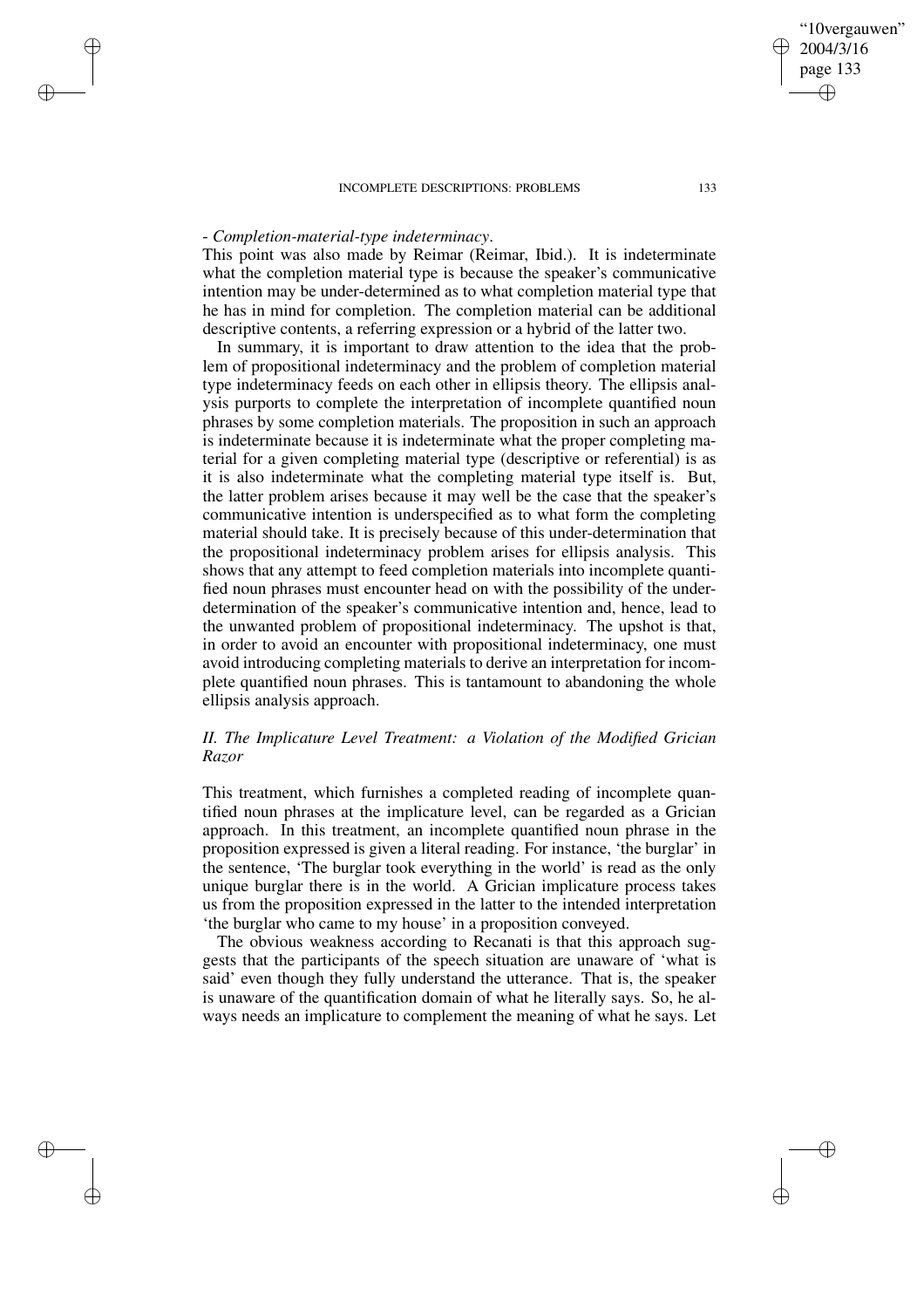## - *Completion-material-type indeterminacy*.

✐

✐

✐

✐

This point was also made by Reimar (Reimar, Ibid.). It is indeterminate what the completion material type is because the speaker's communicative intention may be under-determined as to what completion material type that he has in mind for completion. The completion material can be additional descriptive contents, a referring expression or a hybrid of the latter two.

In summary, it is important to draw attention to the idea that the problem of propositional indeterminacy and the problem of completion material type indeterminacy feeds on each other in ellipsis theory. The ellipsis analysis purports to complete the interpretation of incomplete quantified noun phrases by some completion materials. The proposition in such an approach is indeterminate because it is indeterminate what the proper completing material for a given completing material type (descriptive or referential) is as it is also indeterminate what the completing material type itself is. But, the latter problem arises because it may well be the case that the speaker's communicative intention is underspecified as to what form the completing material should take. It is precisely because of this under-determination that the propositional indeterminacy problem arises for ellipsis analysis. This shows that any attempt to feed completion materials into incomplete quantified noun phrases must encounter head on with the possibility of the underdetermination of the speaker's communicative intention and, hence, lead to the unwanted problem of propositional indeterminacy. The upshot is that, in order to avoid an encounter with propositional indeterminacy, one must avoid introducing completing materials to derive an interpretation for incomplete quantified noun phrases. This is tantamount to abandoning the whole ellipsis analysis approach.

# *II. The Implicature Level Treatment: a Violation of the Modified Grician Razor*

This treatment, which furnishes a completed reading of incomplete quantified noun phrases at the implicature level, can be regarded as a Grician approach. In this treatment, an incomplete quantified noun phrase in the proposition expressed is given a literal reading. For instance, 'the burglar' in the sentence, 'The burglar took everything in the world' is read as the only unique burglar there is in the world. A Grician implicature process takes us from the proposition expressed in the latter to the intended interpretation 'the burglar who came to my house' in a proposition conveyed.

The obvious weakness according to Recanati is that this approach suggests that the participants of the speech situation are unaware of 'what is said' even though they fully understand the utterance. That is, the speaker is unaware of the quantification domain of what he literally says. So, he always needs an implicature to complement the meaning of what he says. Let

"10vergauwen" 2004/3/16 page 133

✐

✐

✐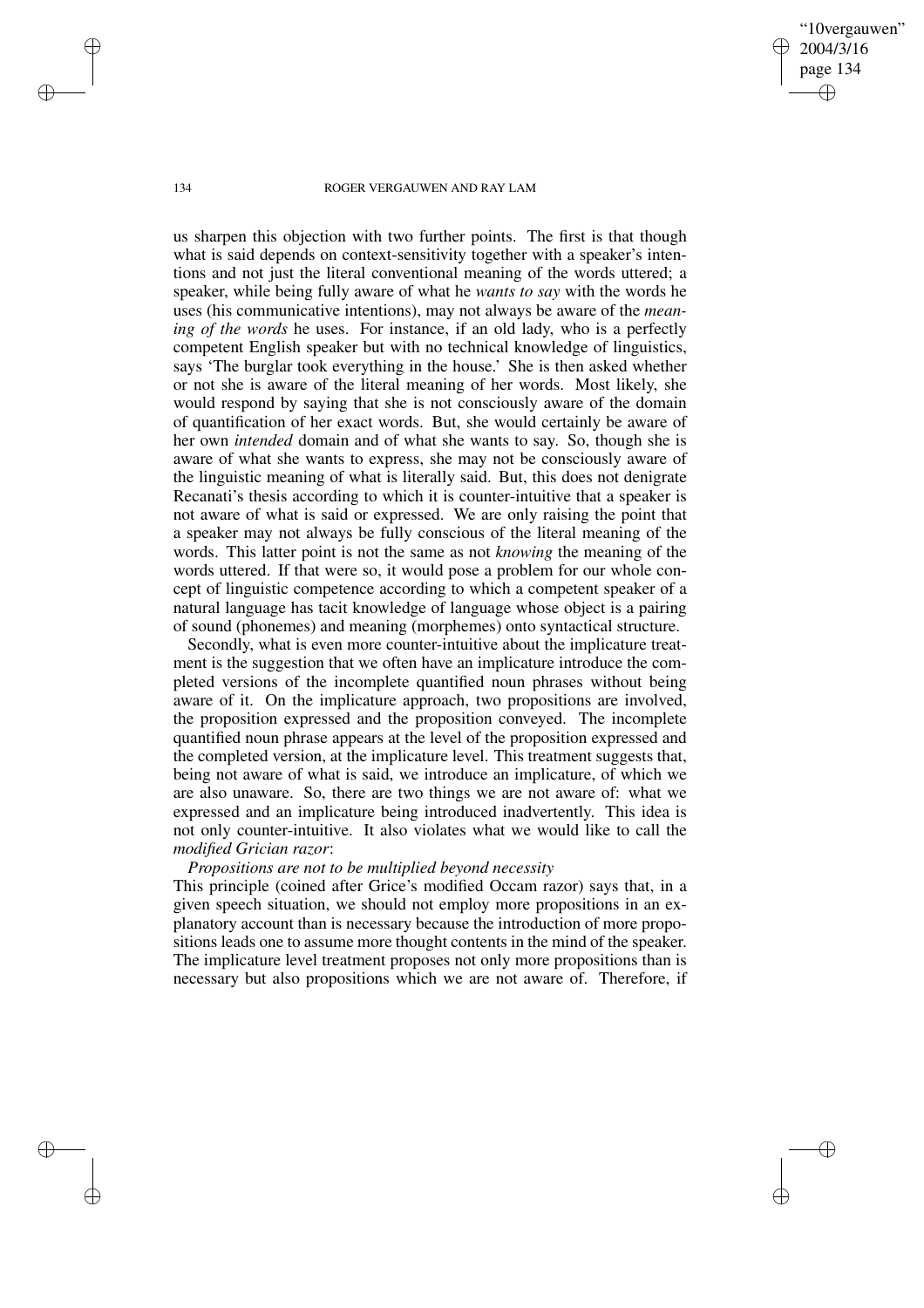"10vergauwen" 2004/3/16 page 134 ✐ ✐

✐

✐

### 134 ROGER VERGAUWEN AND RAY LAM

us sharpen this objection with two further points. The first is that though what is said depends on context-sensitivity together with a speaker's intentions and not just the literal conventional meaning of the words uttered; a speaker, while being fully aware of what he *wants to say* with the words he uses (his communicative intentions), may not always be aware of the *meaning of the words* he uses. For instance, if an old lady, who is a perfectly competent English speaker but with no technical knowledge of linguistics, says 'The burglar took everything in the house.' She is then asked whether or not she is aware of the literal meaning of her words. Most likely, she would respond by saying that she is not consciously aware of the domain of quantification of her exact words. But, she would certainly be aware of her own *intended* domain and of what she wants to say. So, though she is aware of what she wants to express, she may not be consciously aware of the linguistic meaning of what is literally said. But, this does not denigrate Recanati's thesis according to which it is counter-intuitive that a speaker is not aware of what is said or expressed. We are only raising the point that a speaker may not always be fully conscious of the literal meaning of the words. This latter point is not the same as not *knowing* the meaning of the words uttered. If that were so, it would pose a problem for our whole concept of linguistic competence according to which a competent speaker of a natural language has tacit knowledge of language whose object is a pairing of sound (phonemes) and meaning (morphemes) onto syntactical structure.

Secondly, what is even more counter-intuitive about the implicature treatment is the suggestion that we often have an implicature introduce the completed versions of the incomplete quantified noun phrases without being aware of it. On the implicature approach, two propositions are involved, the proposition expressed and the proposition conveyed. The incomplete quantified noun phrase appears at the level of the proposition expressed and the completed version, at the implicature level. This treatment suggests that, being not aware of what is said, we introduce an implicature, of which we are also unaware. So, there are two things we are not aware of: what we expressed and an implicature being introduced inadvertently. This idea is not only counter-intuitive. It also violates what we would like to call the *modified Grician razor*:

# *Propositions are not to be multiplied beyond necessity*

This principle (coined after Grice's modified Occam razor) says that, in a given speech situation, we should not employ more propositions in an explanatory account than is necessary because the introduction of more propositions leads one to assume more thought contents in the mind of the speaker. The implicature level treatment proposes not only more propositions than is necessary but also propositions which we are not aware of. Therefore, if

✐

✐

✐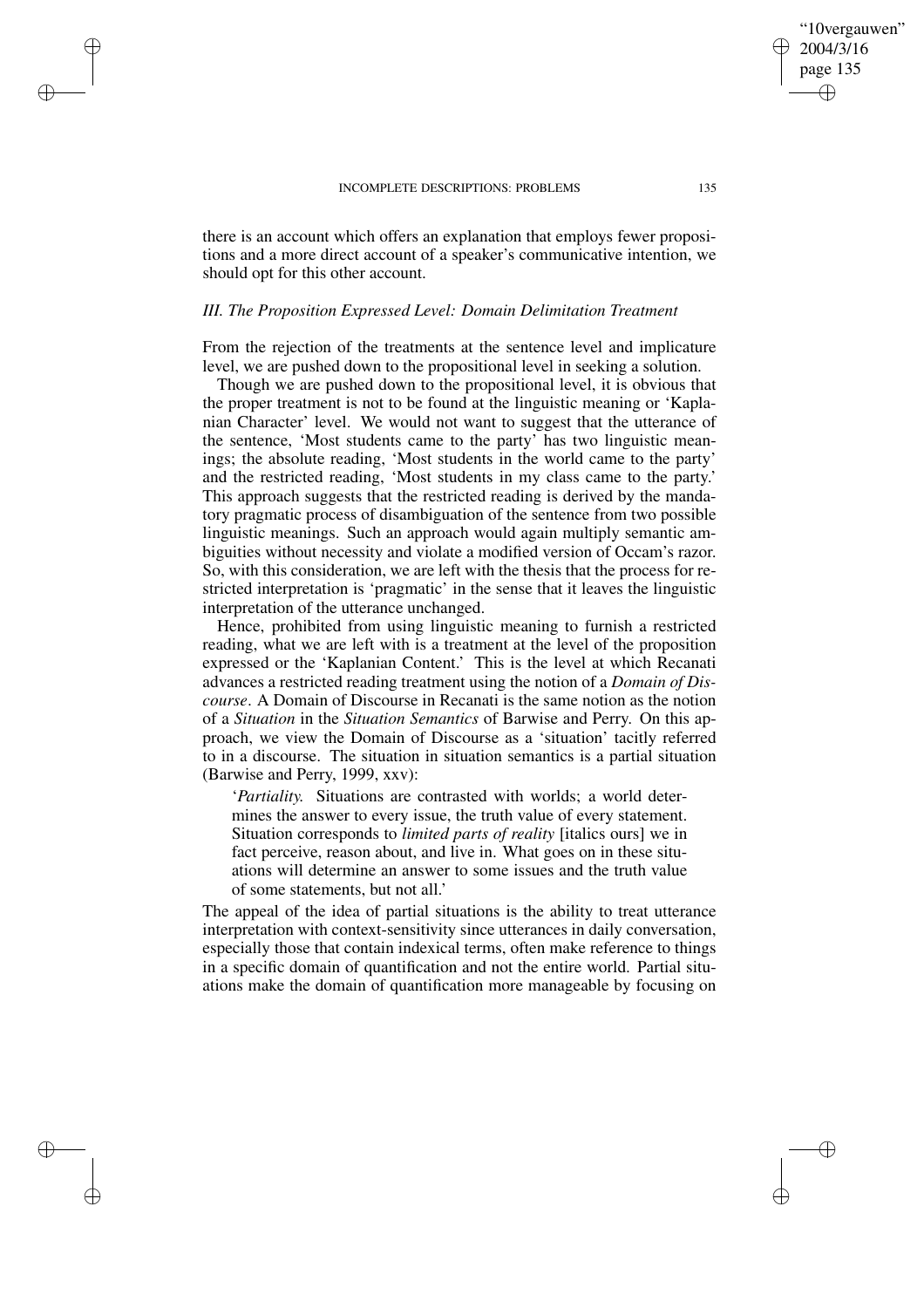✐

✐

✐

✐

there is an account which offers an explanation that employs fewer propositions and a more direct account of a speaker's communicative intention, we should opt for this other account.

## *III. The Proposition Expressed Level: Domain Delimitation Treatment*

From the rejection of the treatments at the sentence level and implicature level, we are pushed down to the propositional level in seeking a solution.

Though we are pushed down to the propositional level, it is obvious that the proper treatment is not to be found at the linguistic meaning or 'Kaplanian Character' level. We would not want to suggest that the utterance of the sentence, 'Most students came to the party' has two linguistic meanings; the absolute reading, 'Most students in the world came to the party' and the restricted reading, 'Most students in my class came to the party.' This approach suggests that the restricted reading is derived by the mandatory pragmatic process of disambiguation of the sentence from two possible linguistic meanings. Such an approach would again multiply semantic ambiguities without necessity and violate a modified version of Occam's razor. So, with this consideration, we are left with the thesis that the process for restricted interpretation is 'pragmatic' in the sense that it leaves the linguistic interpretation of the utterance unchanged.

Hence, prohibited from using linguistic meaning to furnish a restricted reading, what we are left with is a treatment at the level of the proposition expressed or the 'Kaplanian Content.' This is the level at which Recanati advances a restricted reading treatment using the notion of a *Domain of Discourse*. A Domain of Discourse in Recanati is the same notion as the notion of a *Situation* in the *Situation Semantics* of Barwise and Perry. On this approach, we view the Domain of Discourse as a 'situation' tacitly referred to in a discourse. The situation in situation semantics is a partial situation (Barwise and Perry, 1999, xxv):

'*Partiality.* Situations are contrasted with worlds; a world determines the answer to every issue, the truth value of every statement. Situation corresponds to *limited parts of reality* [italics ours] we in fact perceive, reason about, and live in. What goes on in these situations will determine an answer to some issues and the truth value of some statements, but not all.'

The appeal of the idea of partial situations is the ability to treat utterance interpretation with context-sensitivity since utterances in daily conversation, especially those that contain indexical terms, often make reference to things in a specific domain of quantification and not the entire world. Partial situations make the domain of quantification more manageable by focusing on

"10vergauwen" 2004/3/16 page 135

✐

✐

✐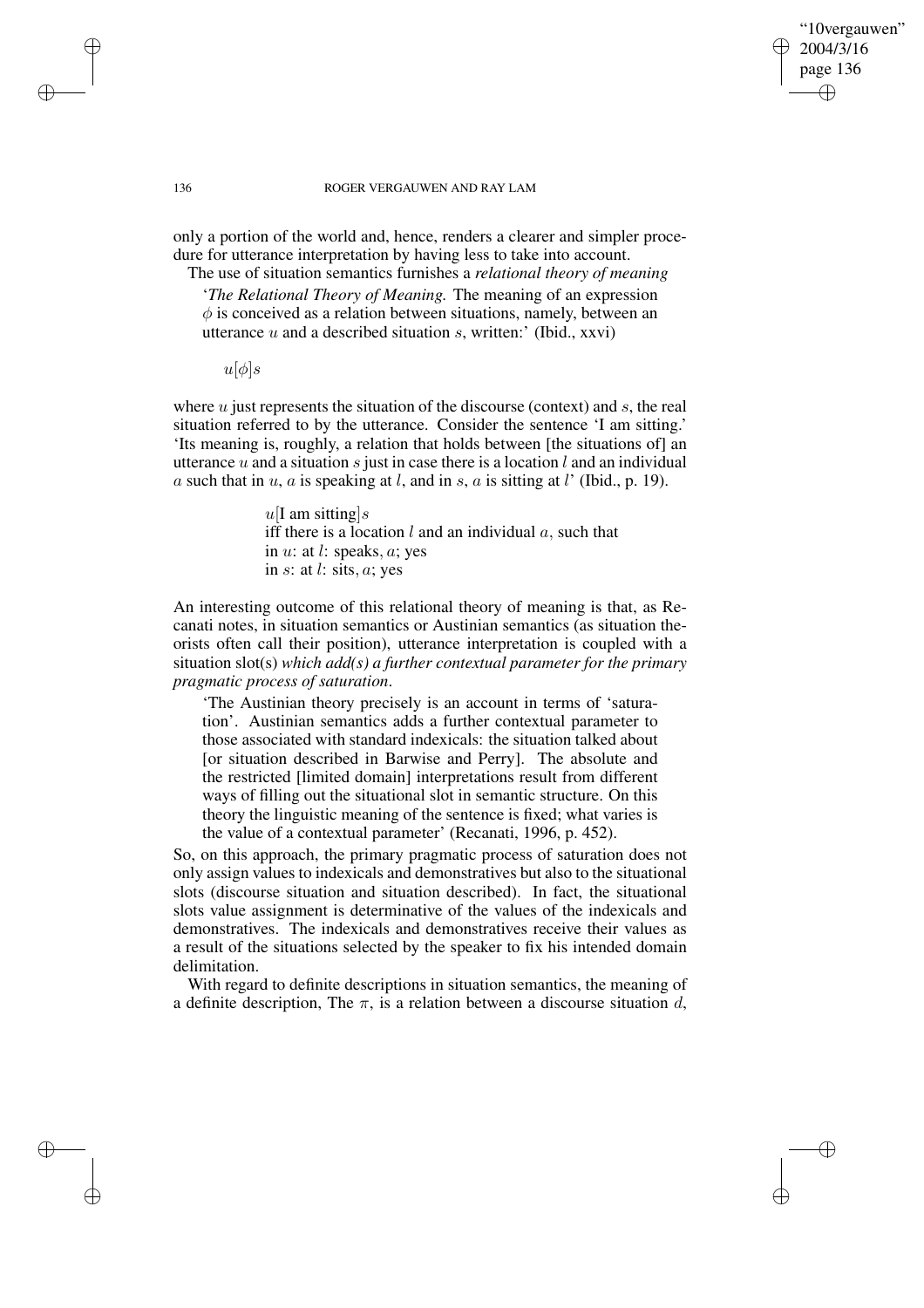## "10vergauwen" 2004/3/16 page 136 ✐ ✐

✐

✐

### 136 ROGER VERGAUWEN AND RAY LAM

only a portion of the world and, hence, renders a clearer and simpler procedure for utterance interpretation by having less to take into account. The use of situation semantics furnishes a *relational theory of meaning*

'*The Relational Theory of Meaning.* The meaning of an expression  $\phi$  is conceived as a relation between situations, namely, between an utterance  $u$  and a described situation  $s$ , written:' (Ibid., xxvi)

 $u[\phi]$ s

where  $u$  just represents the situation of the discourse (context) and  $s$ , the real situation referred to by the utterance. Consider the sentence 'I am sitting.' 'Its meaning is, roughly, a relation that holds between [the situations of] an utterance u and a situation s just in case there is a location l and an individual a such that in  $u$ ,  $a$  is speaking at  $l$ , and in  $s$ ,  $a$  is sitting at  $l'$  (Ibid., p. 19).

> $u$ [I am sitting]s iff there is a location  $l$  and an individual  $a$ , such that in  $u:$  at  $l:$  speaks,  $a:$  yes in  $s$ : at  $l$ : sits,  $a$ ; yes

An interesting outcome of this relational theory of meaning is that, as Recanati notes, in situation semantics or Austinian semantics (as situation theorists often call their position), utterance interpretation is coupled with a situation slot(s) *which add(s) a further contextual parameter for the primary pragmatic process of saturation*.

'The Austinian theory precisely is an account in terms of 'saturation'. Austinian semantics adds a further contextual parameter to those associated with standard indexicals: the situation talked about [or situation described in Barwise and Perry]. The absolute and the restricted [limited domain] interpretations result from different ways of filling out the situational slot in semantic structure. On this theory the linguistic meaning of the sentence is fixed; what varies is the value of a contextual parameter' (Recanati, 1996, p. 452).

So, on this approach, the primary pragmatic process of saturation does not only assign values to indexicals and demonstratives but also to the situational slots (discourse situation and situation described). In fact, the situational slots value assignment is determinative of the values of the indexicals and demonstratives. The indexicals and demonstratives receive their values as a result of the situations selected by the speaker to fix his intended domain delimitation.

With regard to definite descriptions in situation semantics, the meaning of a definite description, The  $\pi$ , is a relation between a discourse situation d,

✐

✐

✐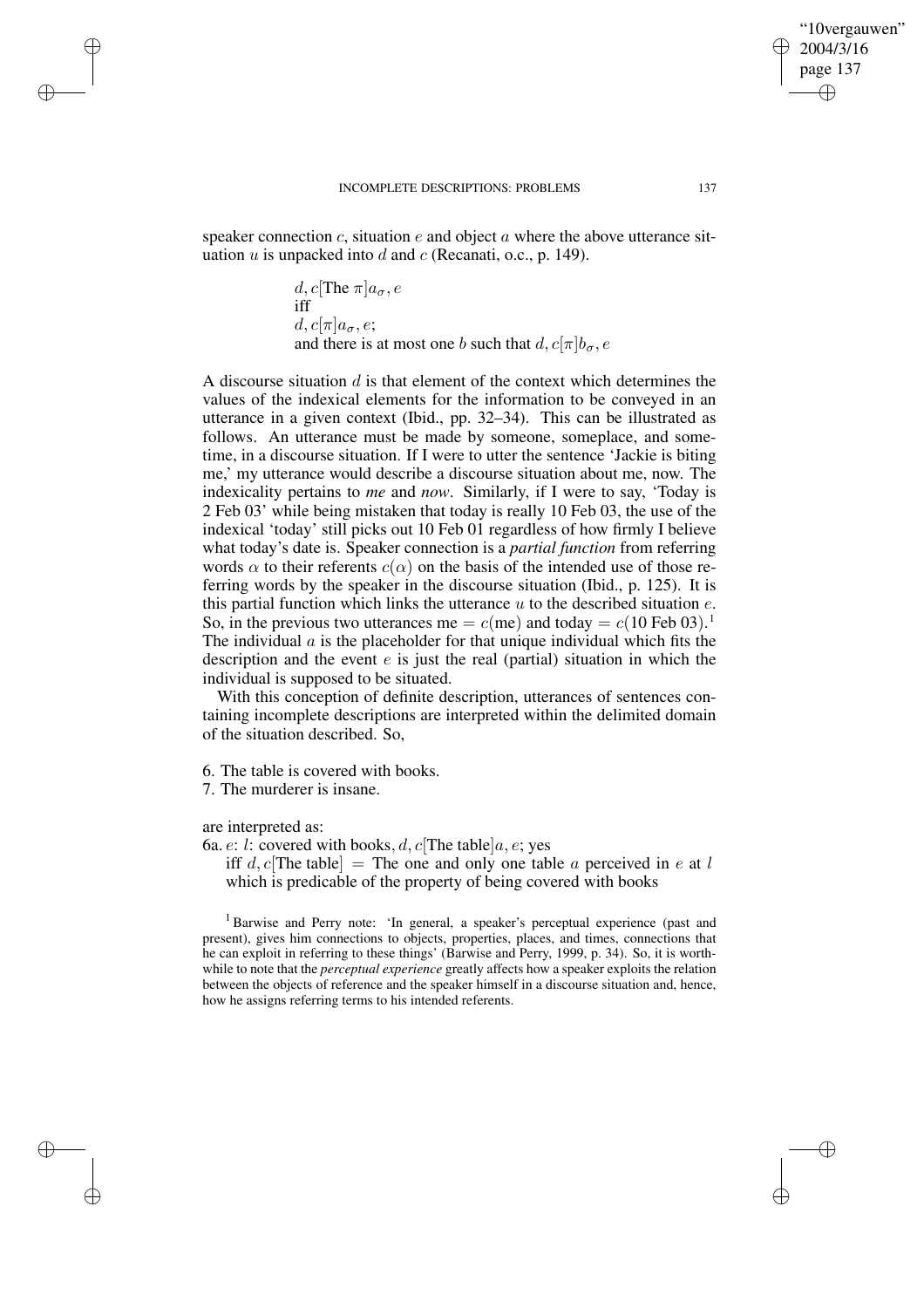speaker connection c, situation  $e$  and object  $a$  where the above utterance situation  $u$  is unpacked into  $d$  and  $c$  (Recanati, o.c., p. 149).

d, 
$$
c[\text{The } \pi]a_{\sigma}, e
$$
  
iff  
d,  $c[\pi]a_{\sigma}, e$ ;  
and there is at most one b such that  $d, c[\pi]b_{\sigma}, e$ 

A discourse situation  $d$  is that element of the context which determines the values of the indexical elements for the information to be conveyed in an utterance in a given context (Ibid., pp. 32–34). This can be illustrated as follows. An utterance must be made by someone, someplace, and sometime, in a discourse situation. If I were to utter the sentence 'Jackie is biting me,' my utterance would describe a discourse situation about me, now. The indexicality pertains to *me* and *now*. Similarly, if I were to say, 'Today is 2 Feb 03' while being mistaken that today is really 10 Feb 03, the use of the indexical 'today' still picks out 10 Feb 01 regardless of how firmly I believe what today's date is. Speaker connection is a *partial function* from referring words  $\alpha$  to their referents  $c(\alpha)$  on the basis of the intended use of those referring words by the speaker in the discourse situation (Ibid., p. 125). It is this partial function which links the utterance  $u$  to the described situation  $e$ . So, in the previous two utterances me =  $c$ (me) and today =  $c(10 \text{ Feb } 03)$ .<sup>1</sup> The individual  $\alpha$  is the placeholder for that unique individual which fits the description and the event  $e$  is just the real (partial) situation in which the individual is supposed to be situated.

With this conception of definite description, utterances of sentences containing incomplete descriptions are interpreted within the delimited domain of the situation described. So,

6. The table is covered with books.

7. The murderer is insane.

are interpreted as:

✐

✐

✐

✐

6a. *e*: *l*: covered with books, *d*, *c*[The table]*a*, *e*; yes

iff d, c[The table] = The one and only one table a perceived in e at l which is predicable of the property of being covered with books

<sup>1</sup> Barwise and Perry note: 'In general, a speaker's perceptual experience (past and present), gives him connections to objects, properties, places, and times, connections that he can exploit in referring to these things' (Barwise and Perry, 1999, p. 34). So, it is worthwhile to note that the *perceptual experience* greatly affects how a speaker exploits the relation between the objects of reference and the speaker himself in a discourse situation and, hence, how he assigns referring terms to his intended referents.

"10vergauwen" 2004/3/16 page 137

✐

✐

✐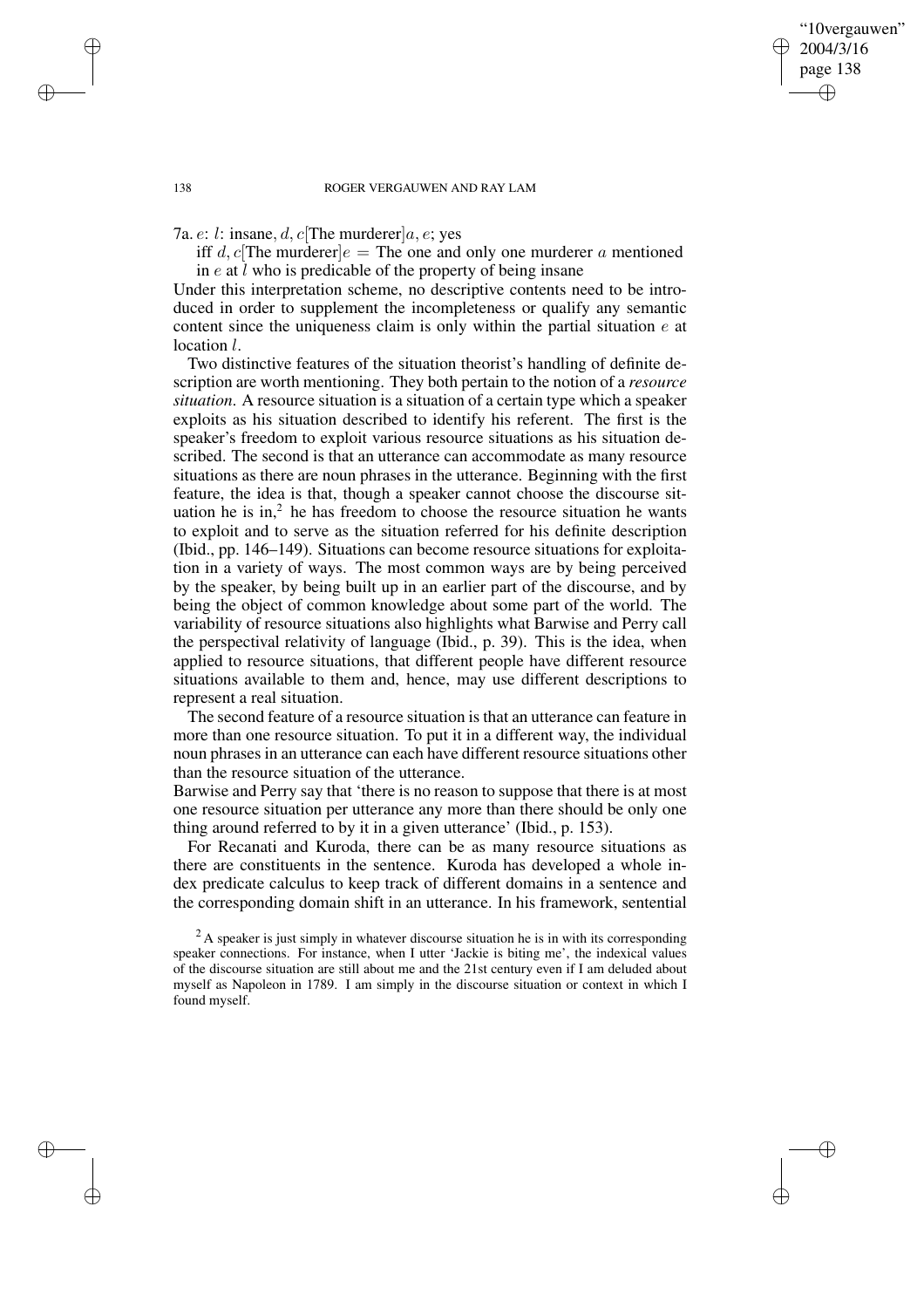"10vergauwen" 2004/3/16 page 138

✐

✐

✐

✐

7a.  $e: l:$  insane,  $d, c$ The murderer $a, e:$  ves

iff d, c[The murderer] $e =$ The one and only one murderer a mentioned in  $e$  at  $\overline{l}$  who is predicable of the property of being insane

Under this interpretation scheme, no descriptive contents need to be introduced in order to supplement the incompleteness or qualify any semantic content since the uniqueness claim is only within the partial situation  $e$  at location *l*.

Two distinctive features of the situation theorist's handling of definite description are worth mentioning. They both pertain to the notion of a *resource situation*. A resource situation is a situation of a certain type which a speaker exploits as his situation described to identify his referent. The first is the speaker's freedom to exploit various resource situations as his situation described. The second is that an utterance can accommodate as many resource situations as there are noun phrases in the utterance. Beginning with the first feature, the idea is that, though a speaker cannot choose the discourse situation he is in, $2$  he has freedom to choose the resource situation he wants to exploit and to serve as the situation referred for his definite description (Ibid., pp. 146–149). Situations can become resource situations for exploitation in a variety of ways. The most common ways are by being perceived by the speaker, by being built up in an earlier part of the discourse, and by being the object of common knowledge about some part of the world. The variability of resource situations also highlights what Barwise and Perry call the perspectival relativity of language (Ibid., p. 39). This is the idea, when applied to resource situations, that different people have different resource situations available to them and, hence, may use different descriptions to represent a real situation.

The second feature of a resource situation is that an utterance can feature in more than one resource situation. To put it in a different way, the individual noun phrases in an utterance can each have different resource situations other than the resource situation of the utterance.

Barwise and Perry say that 'there is no reason to suppose that there is at most one resource situation per utterance any more than there should be only one thing around referred to by it in a given utterance' (Ibid., p. 153).

For Recanati and Kuroda, there can be as many resource situations as there are constituents in the sentence. Kuroda has developed a whole index predicate calculus to keep track of different domains in a sentence and the corresponding domain shift in an utterance. In his framework, sentential

✐

✐

✐

 $^{2}$  A speaker is just simply in whatever discourse situation he is in with its corresponding speaker connections. For instance, when I utter 'Jackie is biting me', the indexical values of the discourse situation are still about me and the 21st century even if I am deluded about myself as Napoleon in 1789. I am simply in the discourse situation or context in which I found myself.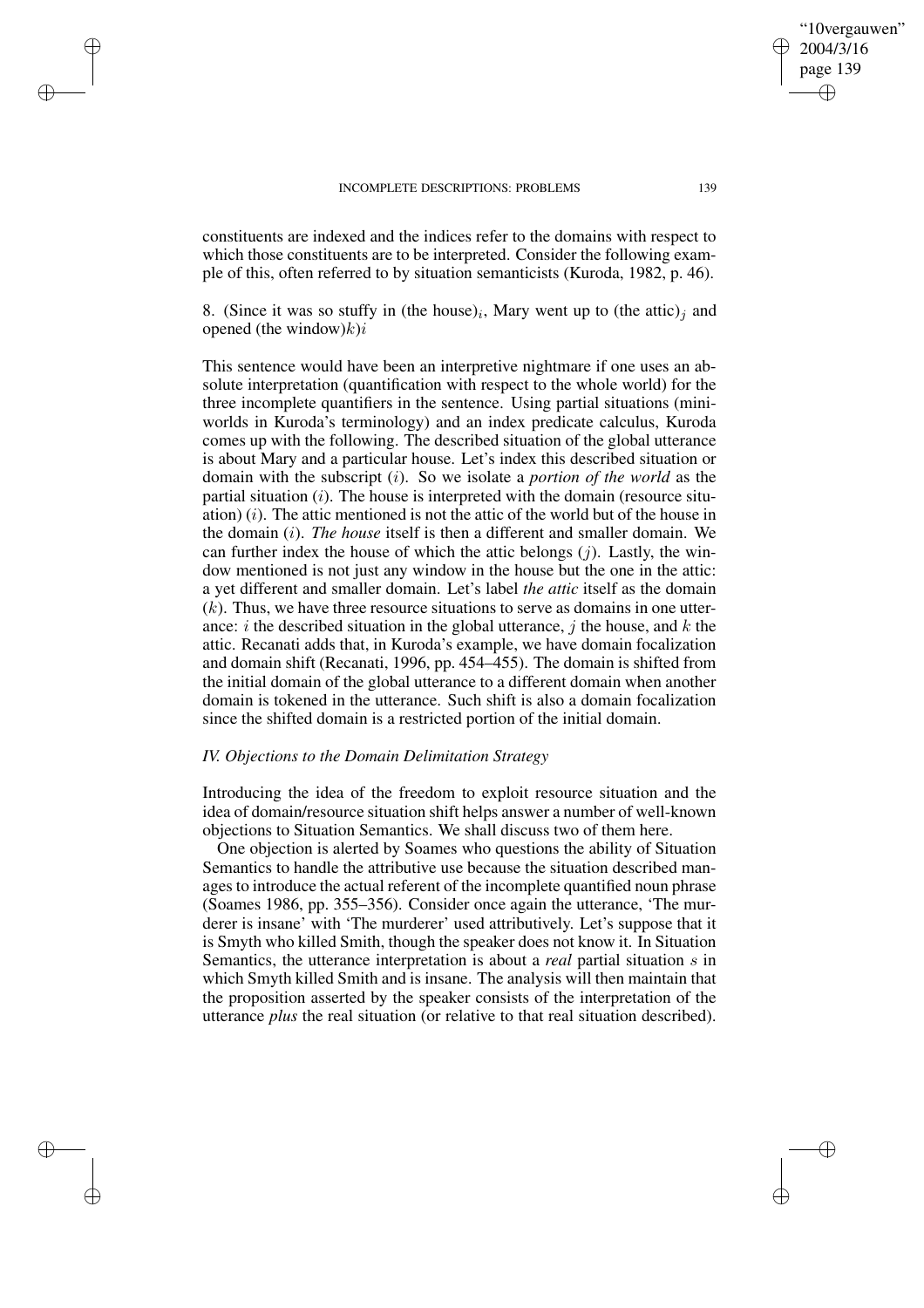✐

✐

✐

✐

constituents are indexed and the indices refer to the domains with respect to which those constituents are to be interpreted. Consider the following example of this, often referred to by situation semanticists (Kuroda, 1982, p. 46).

8. (Since it was so stuffy in (the house)<sub>i</sub>, Mary went up to (the attic)<sub>j</sub> and opened (the window) $k$ ) $i$ 

This sentence would have been an interpretive nightmare if one uses an absolute interpretation (quantification with respect to the whole world) for the three incomplete quantifiers in the sentence. Using partial situations (miniworlds in Kuroda's terminology) and an index predicate calculus, Kuroda comes up with the following. The described situation of the global utterance is about Mary and a particular house. Let's index this described situation or domain with the subscript (i). So we isolate a *portion of the world* as the partial situation  $(i)$ . The house is interpreted with the domain (resource situation)  $(i)$ . The attic mentioned is not the attic of the world but of the house in the domain (i). *The house* itself is then a different and smaller domain. We can further index the house of which the attic belongs  $(j)$ . Lastly, the window mentioned is not just any window in the house but the one in the attic: a yet different and smaller domain. Let's label *the attic* itself as the domain  $(k)$ . Thus, we have three resource situations to serve as domains in one utterance: i the described situation in the global utterance, j the house, and  $k$  the attic. Recanati adds that, in Kuroda's example, we have domain focalization and domain shift (Recanati, 1996, pp. 454–455). The domain is shifted from the initial domain of the global utterance to a different domain when another domain is tokened in the utterance. Such shift is also a domain focalization since the shifted domain is a restricted portion of the initial domain.

## *IV. Objections to the Domain Delimitation Strategy*

Introducing the idea of the freedom to exploit resource situation and the idea of domain/resource situation shift helps answer a number of well-known objections to Situation Semantics. We shall discuss two of them here.

One objection is alerted by Soames who questions the ability of Situation Semantics to handle the attributive use because the situation described manages to introduce the actual referent of the incomplete quantified noun phrase (Soames 1986, pp. 355–356). Consider once again the utterance, 'The murderer is insane' with 'The murderer' used attributively. Let's suppose that it is Smyth who killed Smith, though the speaker does not know it. In Situation Semantics, the utterance interpretation is about a *real* partial situation s in which Smyth killed Smith and is insane. The analysis will then maintain that the proposition asserted by the speaker consists of the interpretation of the utterance *plus* the real situation (or relative to that real situation described).

"10vergauwen" 2004/3/16 page 139

✐

✐

✐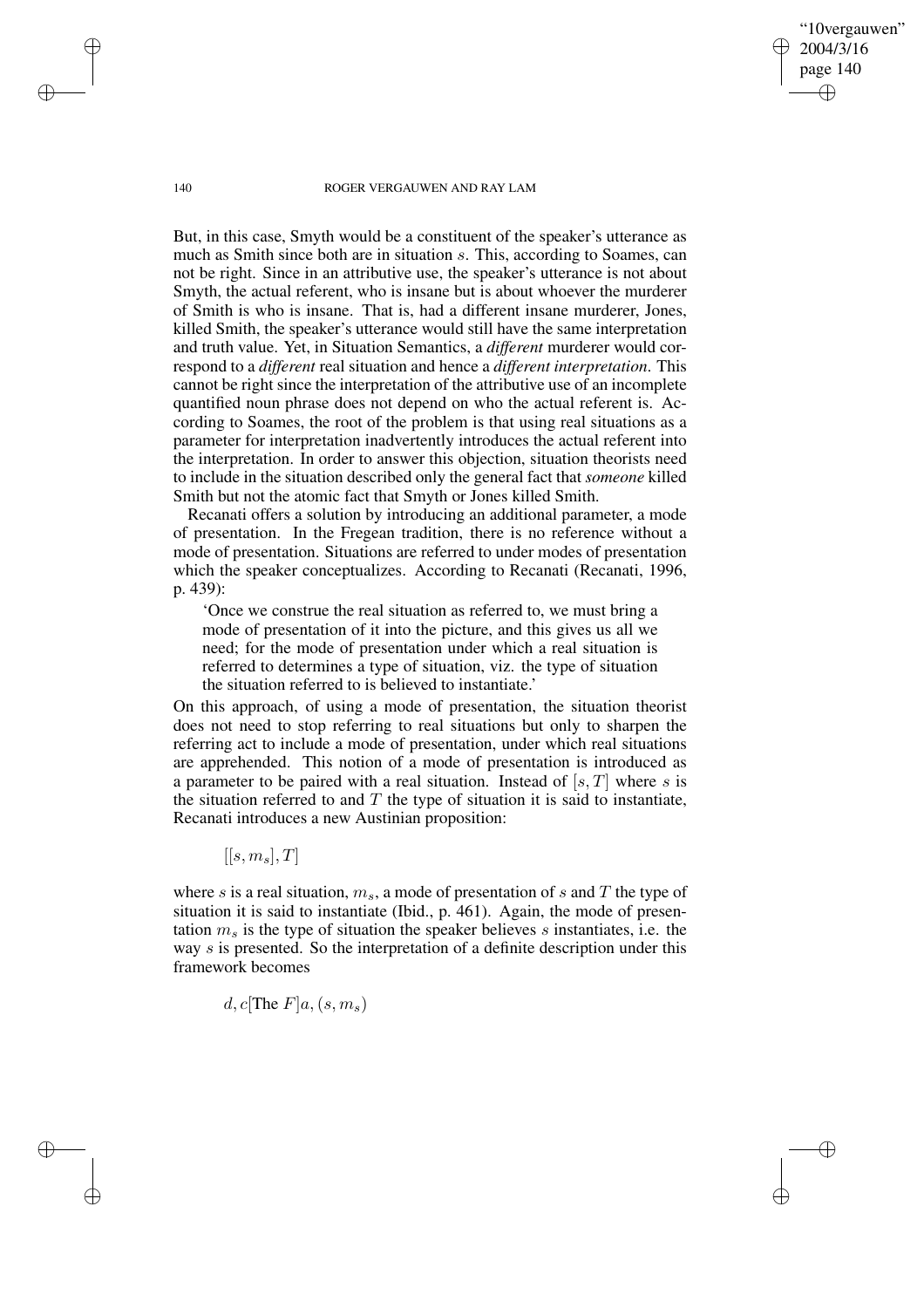"10vergauwen" 2004/3/16 page 140

✐

✐

✐

✐

But, in this case, Smyth would be a constituent of the speaker's utterance as much as Smith since both are in situation s. This, according to Soames, can not be right. Since in an attributive use, the speaker's utterance is not about Smyth, the actual referent, who is insane but is about whoever the murderer of Smith is who is insane. That is, had a different insane murderer, Jones, killed Smith, the speaker's utterance would still have the same interpretation and truth value. Yet, in Situation Semantics, a *different* murderer would correspond to a *different* real situation and hence a *different interpretation*. This cannot be right since the interpretation of the attributive use of an incomplete quantified noun phrase does not depend on who the actual referent is. According to Soames, the root of the problem is that using real situations as a parameter for interpretation inadvertently introduces the actual referent into the interpretation. In order to answer this objection, situation theorists need to include in the situation described only the general fact that *someone* killed Smith but not the atomic fact that Smyth or Jones killed Smith.

Recanati offers a solution by introducing an additional parameter, a mode of presentation. In the Fregean tradition, there is no reference without a mode of presentation. Situations are referred to under modes of presentation which the speaker conceptualizes. According to Recanati (Recanati, 1996, p. 439):

'Once we construe the real situation as referred to, we must bring a mode of presentation of it into the picture, and this gives us all we need; for the mode of presentation under which a real situation is referred to determines a type of situation, viz. the type of situation the situation referred to is believed to instantiate.'

On this approach, of using a mode of presentation, the situation theorist does not need to stop referring to real situations but only to sharpen the referring act to include a mode of presentation, under which real situations are apprehended. This notion of a mode of presentation is introduced as a parameter to be paired with a real situation. Instead of  $[s, T]$  where s is the situation referred to and  $T$  the type of situation it is said to instantiate, Recanati introduces a new Austinian proposition:

 $[[s, m_s], T]$ 

where s is a real situation,  $m_s$ , a mode of presentation of s and T the type of situation it is said to instantiate (Ibid., p. 461). Again, the mode of presentation  $m<sub>s</sub>$  is the type of situation the speaker believes s instantiates, i.e. the way s is presented. So the interpretation of a definite description under this framework becomes

d, c[The  $F|a,(s,m_s)$ 

✐

✐

✐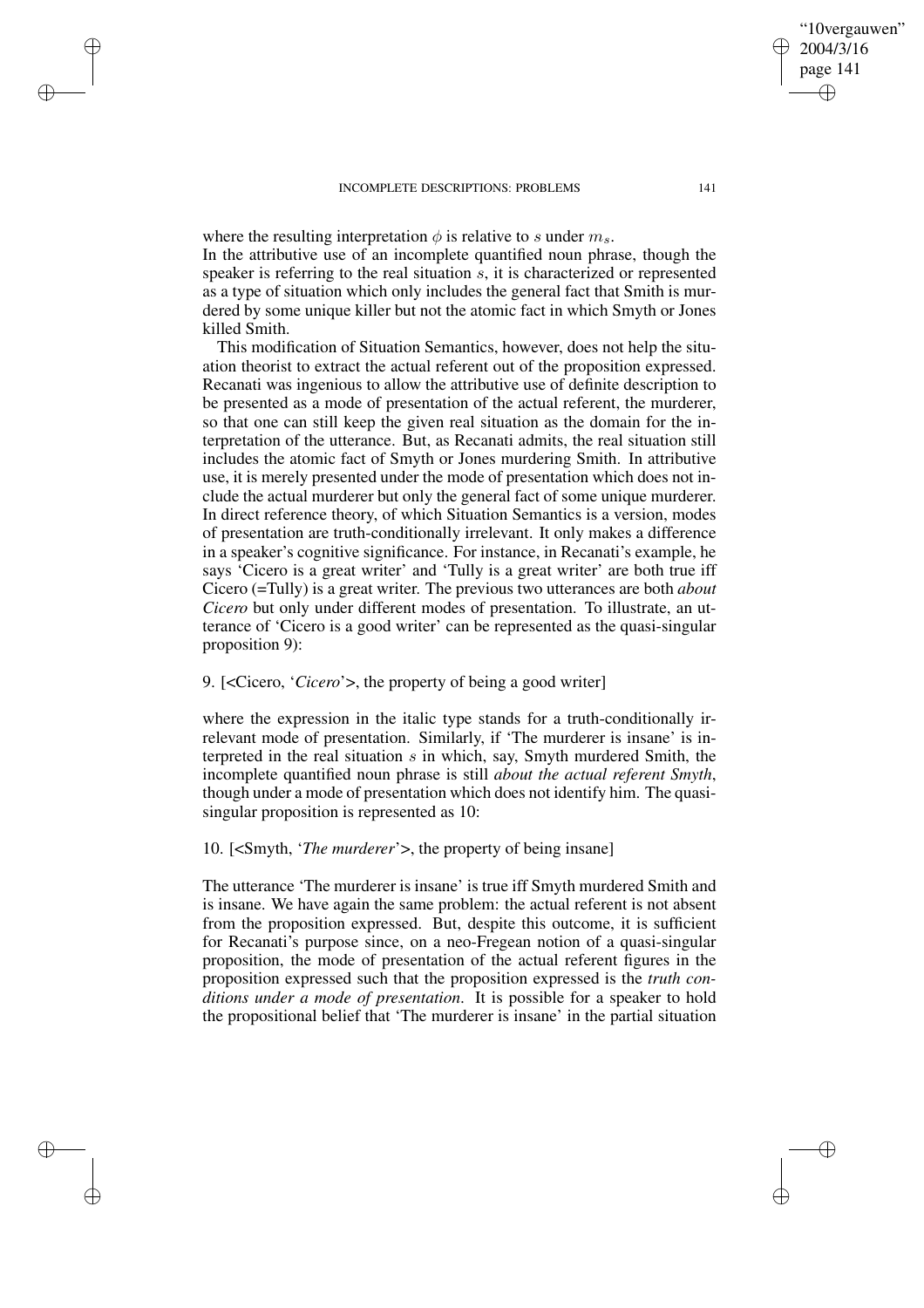✐

✐

✐

✐

where the resulting interpretation  $\phi$  is relative to s under  $m_s$ . In the attributive use of an incomplete quantified noun phrase, though the speaker is referring to the real situation s, it is characterized or represented as a type of situation which only includes the general fact that Smith is murdered by some unique killer but not the atomic fact in which Smyth or Jones killed Smith.

This modification of Situation Semantics, however, does not help the situation theorist to extract the actual referent out of the proposition expressed. Recanati was ingenious to allow the attributive use of definite description to be presented as a mode of presentation of the actual referent, the murderer, so that one can still keep the given real situation as the domain for the interpretation of the utterance. But, as Recanati admits, the real situation still includes the atomic fact of Smyth or Jones murdering Smith. In attributive use, it is merely presented under the mode of presentation which does not include the actual murderer but only the general fact of some unique murderer. In direct reference theory, of which Situation Semantics is a version, modes of presentation are truth-conditionally irrelevant. It only makes a difference in a speaker's cognitive significance. For instance, in Recanati's example, he says 'Cicero is a great writer' and 'Tully is a great writer' are both true iff Cicero (=Tully) is a great writer. The previous two utterances are both *about Cicero* but only under different modes of presentation. To illustrate, an utterance of 'Cicero is a good writer' can be represented as the quasi-singular proposition 9):

# 9. [<Cicero, '*Cicero*'>, the property of being a good writer]

where the expression in the italic type stands for a truth-conditionally irrelevant mode of presentation. Similarly, if 'The murderer is insane' is interpreted in the real situation  $s$  in which, say, Smyth murdered Smith, the incomplete quantified noun phrase is still *about the actual referent Smyth*, though under a mode of presentation which does not identify him. The quasisingular proposition is represented as 10:

## 10. [<Smyth, '*The murderer*'>, the property of being insane]

The utterance 'The murderer is insane' is true iff Smyth murdered Smith and is insane. We have again the same problem: the actual referent is not absent from the proposition expressed. But, despite this outcome, it is sufficient for Recanati's purpose since, on a neo-Fregean notion of a quasi-singular proposition, the mode of presentation of the actual referent figures in the proposition expressed such that the proposition expressed is the *truth conditions under a mode of presentation*. It is possible for a speaker to hold the propositional belief that 'The murderer is insane' in the partial situation

"10vergauwen" 2004/3/16 page 141

✐

✐

✐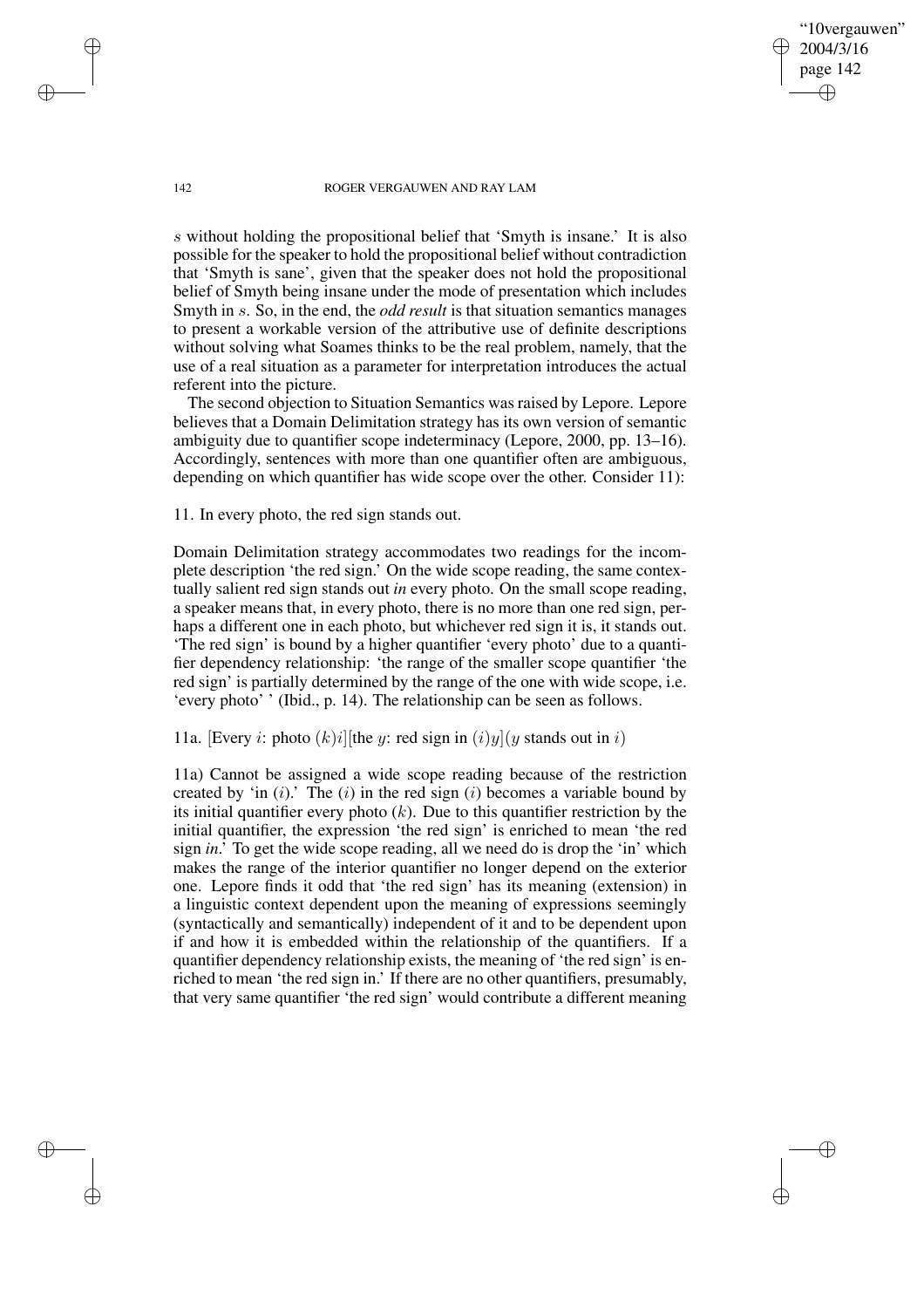"10vergauwen" 2004/3/16 page 142

✐

✐

✐

✐

s without holding the propositional belief that 'Smyth is insane.' It is also possible for the speaker to hold the propositional belief without contradiction that 'Smyth is sane', given that the speaker does not hold the propositional belief of Smyth being insane under the mode of presentation which includes Smyth in s. So, in the end, the *odd result* is that situation semantics manages to present a workable version of the attributive use of definite descriptions without solving what Soames thinks to be the real problem, namely, that the use of a real situation as a parameter for interpretation introduces the actual referent into the picture.

The second objection to Situation Semantics was raised by Lepore. Lepore believes that a Domain Delimitation strategy has its own version of semantic ambiguity due to quantifier scope indeterminacy (Lepore, 2000, pp. 13–16). Accordingly, sentences with more than one quantifier often are ambiguous, depending on which quantifier has wide scope over the other. Consider 11):

11. In every photo, the red sign stands out.

Domain Delimitation strategy accommodates two readings for the incomplete description 'the red sign.' On the wide scope reading, the same contextually salient red sign stands out *in* every photo. On the small scope reading, a speaker means that, in every photo, there is no more than one red sign, perhaps a different one in each photo, but whichever red sign it is, it stands out. 'The red sign' is bound by a higher quantifier 'every photo' due to a quantifier dependency relationship: 'the range of the smaller scope quantifier 'the red sign' is partially determined by the range of the one with wide scope, i.e. 'every photo' ' (Ibid., p. 14). The relationship can be seen as follows.

# 11a. [Every *i*: photo  $(k)i$ ][the *y*: red sign in  $(i)y$ ](*y* stands out in *i*)

11a) Cannot be assigned a wide scope reading because of the restriction created by 'in  $(i)$ .' The  $(i)$  in the red sign  $(i)$  becomes a variable bound by its initial quantifier every photo  $(k)$ . Due to this quantifier restriction by the initial quantifier, the expression 'the red sign' is enriched to mean 'the red sign *in*.' To get the wide scope reading, all we need do is drop the 'in' which makes the range of the interior quantifier no longer depend on the exterior one. Lepore finds it odd that 'the red sign' has its meaning (extension) in a linguistic context dependent upon the meaning of expressions seemingly (syntactically and semantically) independent of it and to be dependent upon if and how it is embedded within the relationship of the quantifiers. If a quantifier dependency relationship exists, the meaning of 'the red sign' is enriched to mean 'the red sign in.' If there are no other quantifiers, presumably, that very same quantifier 'the red sign' would contribute a different meaning

✐

✐

✐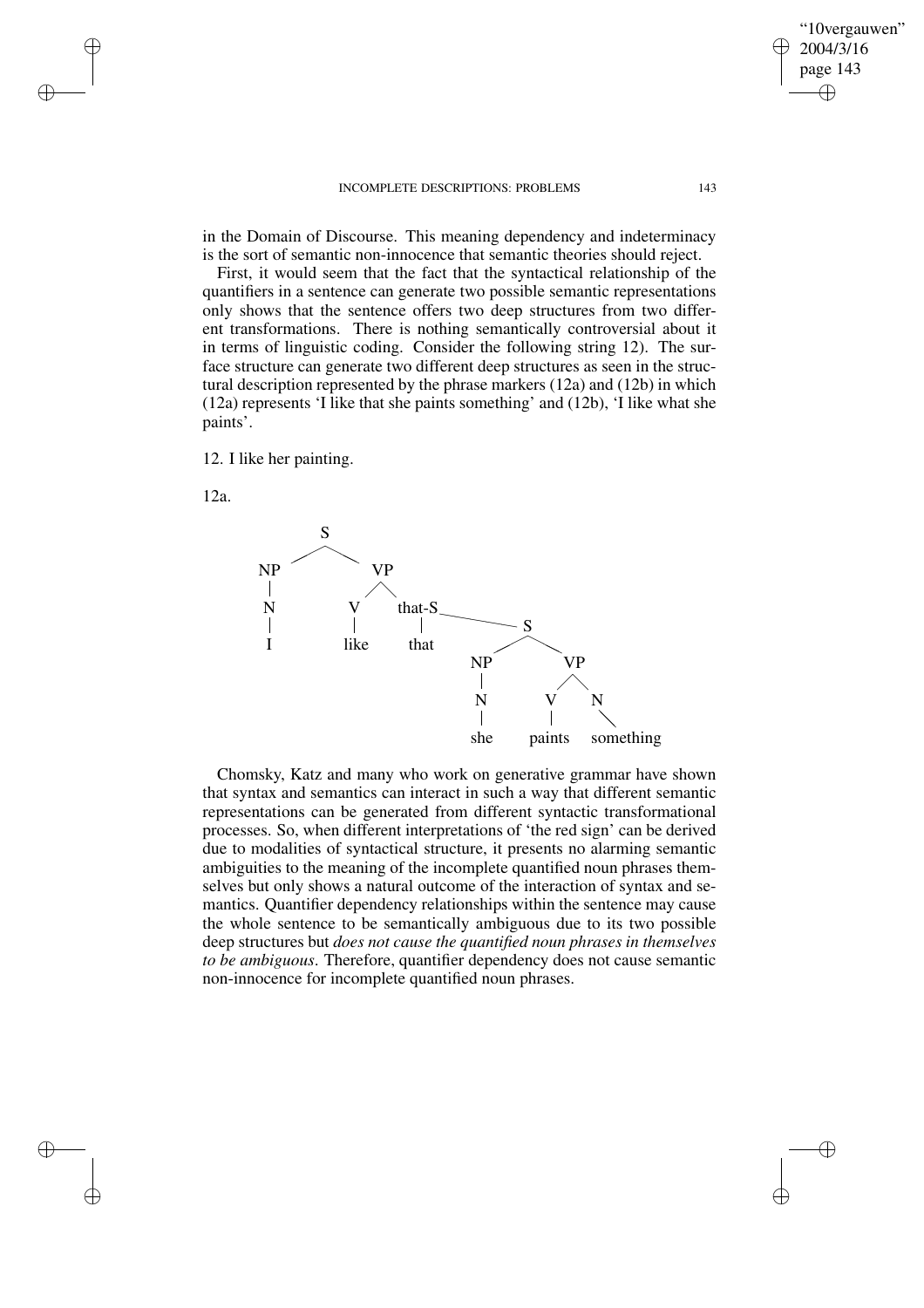in the Domain of Discourse. This meaning dependency and indeterminacy is the sort of semantic non-innocence that semantic theories should reject.

First, it would seem that the fact that the syntactical relationship of the quantifiers in a sentence can generate two possible semantic representations only shows that the sentence offers two deep structures from two different transformations. There is nothing semantically controversial about it in terms of linguistic coding. Consider the following string 12). The surface structure can generate two different deep structures as seen in the structural description represented by the phrase markers (12a) and (12b) in which (12a) represents 'I like that she paints something' and (12b), 'I like what she paints'.

12. I like her painting.

12a.

✐

✐

✐

✐



Chomsky, Katz and many who work on generative grammar have shown that syntax and semantics can interact in such a way that different semantic representations can be generated from different syntactic transformational processes. So, when different interpretations of 'the red sign' can be derived due to modalities of syntactical structure, it presents no alarming semantic ambiguities to the meaning of the incomplete quantified noun phrases themselves but only shows a natural outcome of the interaction of syntax and semantics. Quantifier dependency relationships within the sentence may cause the whole sentence to be semantically ambiguous due to its two possible deep structures but *does not cause the quantified noun phrases in themselves to be ambiguous*. Therefore, quantifier dependency does not cause semantic non-innocence for incomplete quantified noun phrases.

"10vergauwen" 2004/3/16 page 143

✐

✐

✐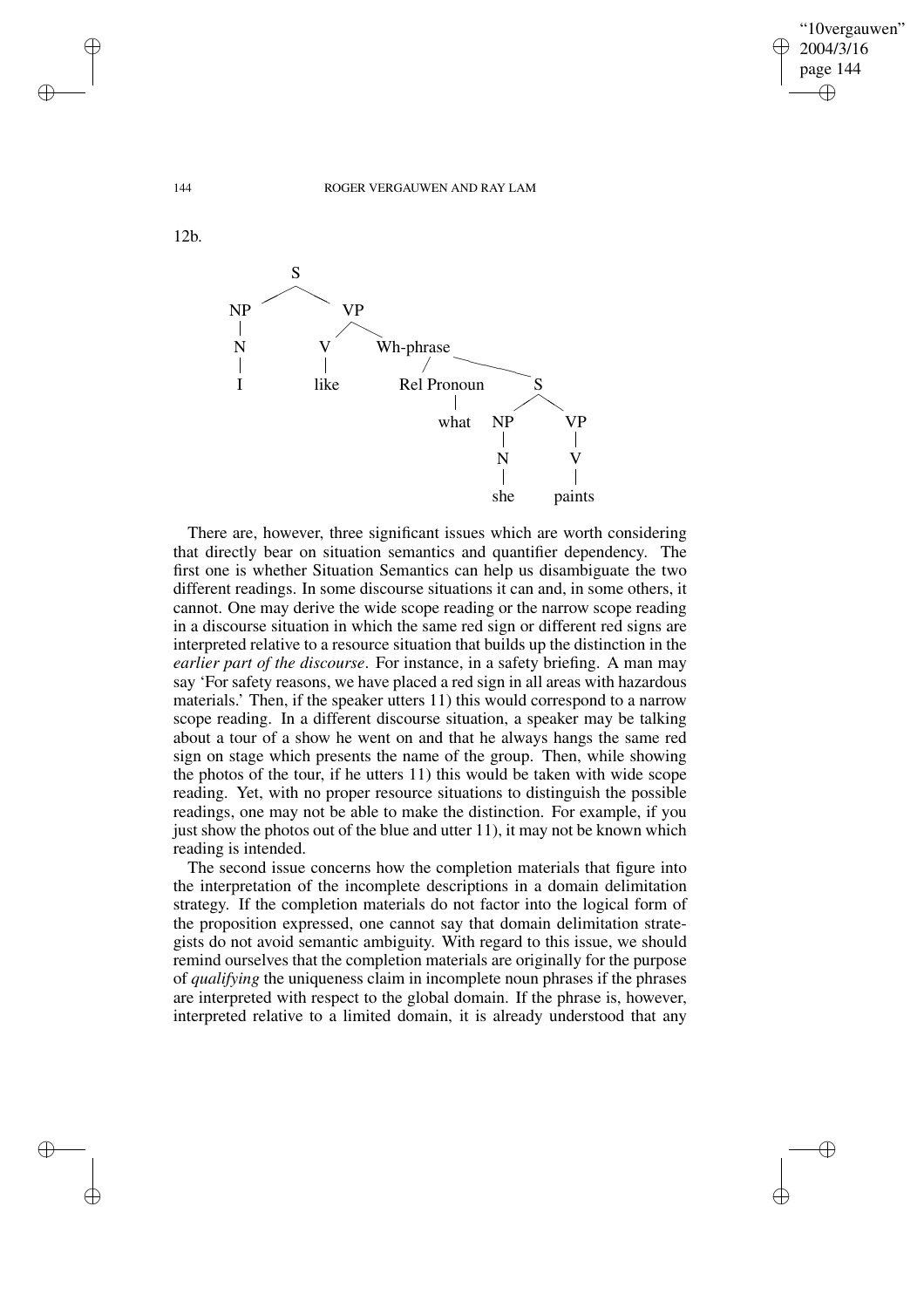✐

✐

144 ROGER VERGAUWEN AND RAY LAM



There are, however, three significant issues which are worth considering that directly bear on situation semantics and quantifier dependency. The first one is whether Situation Semantics can help us disambiguate the two different readings. In some discourse situations it can and, in some others, it cannot. One may derive the wide scope reading or the narrow scope reading in a discourse situation in which the same red sign or different red signs are interpreted relative to a resource situation that builds up the distinction in the *earlier part of the discourse*. For instance, in a safety briefing. A man may say 'For safety reasons, we have placed a red sign in all areas with hazardous materials.' Then, if the speaker utters 11) this would correspond to a narrow scope reading. In a different discourse situation, a speaker may be talking about a tour of a show he went on and that he always hangs the same red sign on stage which presents the name of the group. Then, while showing the photos of the tour, if he utters 11) this would be taken with wide scope reading. Yet, with no proper resource situations to distinguish the possible readings, one may not be able to make the distinction. For example, if you just show the photos out of the blue and utter 11), it may not be known which reading is intended.

The second issue concerns how the completion materials that figure into the interpretation of the incomplete descriptions in a domain delimitation strategy. If the completion materials do not factor into the logical form of the proposition expressed, one cannot say that domain delimitation strategists do not avoid semantic ambiguity. With regard to this issue, we should remind ourselves that the completion materials are originally for the purpose of *qualifying* the uniqueness claim in incomplete noun phrases if the phrases are interpreted with respect to the global domain. If the phrase is, however, interpreted relative to a limited domain, it is already understood that any

✐

✐

✐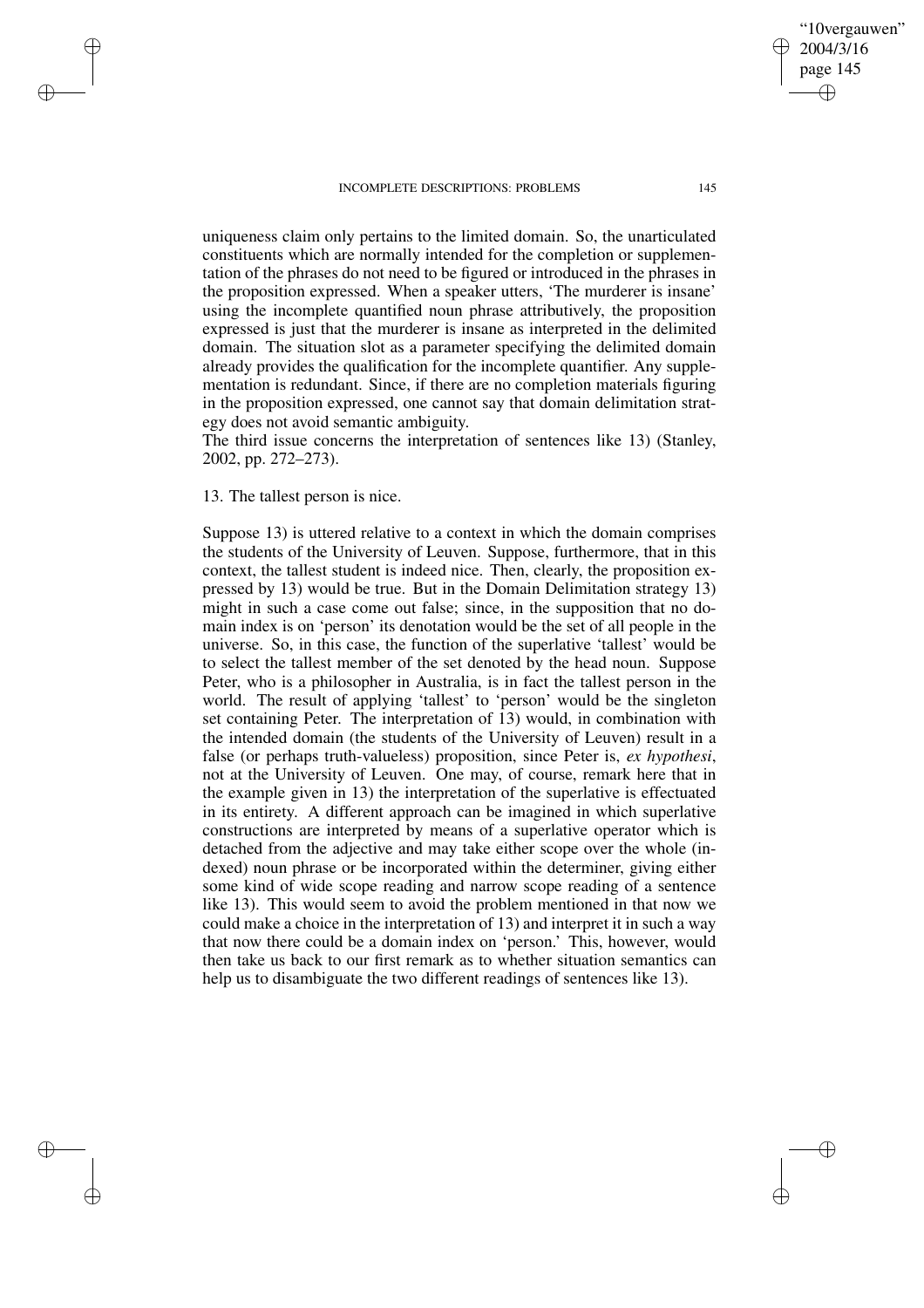"10vergauwen" 2004/3/16 page 145

✐

✐

✐

✐

uniqueness claim only pertains to the limited domain. So, the unarticulated constituents which are normally intended for the completion or supplementation of the phrases do not need to be figured or introduced in the phrases in the proposition expressed. When a speaker utters, 'The murderer is insane' using the incomplete quantified noun phrase attributively, the proposition expressed is just that the murderer is insane as interpreted in the delimited domain. The situation slot as a parameter specifying the delimited domain already provides the qualification for the incomplete quantifier. Any supplementation is redundant. Since, if there are no completion materials figuring in the proposition expressed, one cannot say that domain delimitation strategy does not avoid semantic ambiguity.

The third issue concerns the interpretation of sentences like 13) (Stanley, 2002, pp. 272–273).

13. The tallest person is nice.

✐

✐

✐

✐

Suppose 13) is uttered relative to a context in which the domain comprises the students of the University of Leuven. Suppose, furthermore, that in this context, the tallest student is indeed nice. Then, clearly, the proposition expressed by 13) would be true. But in the Domain Delimitation strategy 13) might in such a case come out false; since, in the supposition that no domain index is on 'person' its denotation would be the set of all people in the universe. So, in this case, the function of the superlative 'tallest' would be to select the tallest member of the set denoted by the head noun. Suppose Peter, who is a philosopher in Australia, is in fact the tallest person in the world. The result of applying 'tallest' to 'person' would be the singleton set containing Peter. The interpretation of 13) would, in combination with the intended domain (the students of the University of Leuven) result in a false (or perhaps truth-valueless) proposition, since Peter is, *ex hypothesi*, not at the University of Leuven. One may, of course, remark here that in the example given in 13) the interpretation of the superlative is effectuated in its entirety. A different approach can be imagined in which superlative constructions are interpreted by means of a superlative operator which is detached from the adjective and may take either scope over the whole (indexed) noun phrase or be incorporated within the determiner, giving either some kind of wide scope reading and narrow scope reading of a sentence like 13). This would seem to avoid the problem mentioned in that now we could make a choice in the interpretation of 13) and interpret it in such a way that now there could be a domain index on 'person.' This, however, would then take us back to our first remark as to whether situation semantics can help us to disambiguate the two different readings of sentences like 13).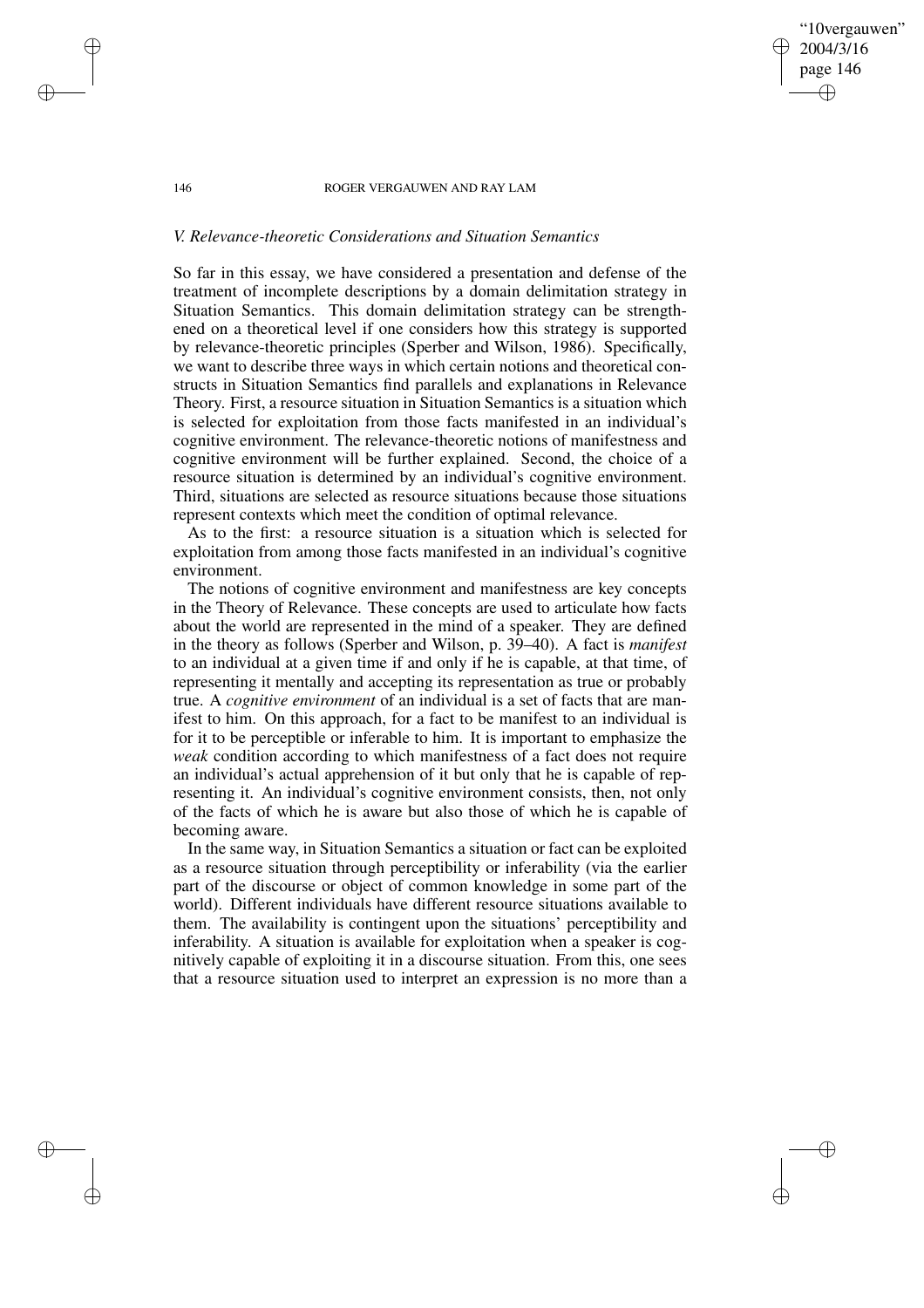"10vergauwen" 2004/3/16 page 146

✐

✐

✐

✐

# *V. Relevance-theoretic Considerations and Situation Semantics*

So far in this essay, we have considered a presentation and defense of the treatment of incomplete descriptions by a domain delimitation strategy in Situation Semantics. This domain delimitation strategy can be strengthened on a theoretical level if one considers how this strategy is supported by relevance-theoretic principles (Sperber and Wilson, 1986). Specifically, we want to describe three ways in which certain notions and theoretical constructs in Situation Semantics find parallels and explanations in Relevance Theory. First, a resource situation in Situation Semantics is a situation which is selected for exploitation from those facts manifested in an individual's cognitive environment. The relevance-theoretic notions of manifestness and cognitive environment will be further explained. Second, the choice of a resource situation is determined by an individual's cognitive environment. Third, situations are selected as resource situations because those situations represent contexts which meet the condition of optimal relevance.

As to the first: a resource situation is a situation which is selected for exploitation from among those facts manifested in an individual's cognitive environment.

The notions of cognitive environment and manifestness are key concepts in the Theory of Relevance. These concepts are used to articulate how facts about the world are represented in the mind of a speaker. They are defined in the theory as follows (Sperber and Wilson, p. 39–40). A fact is *manifest* to an individual at a given time if and only if he is capable, at that time, of representing it mentally and accepting its representation as true or probably true. A *cognitive environment* of an individual is a set of facts that are manifest to him. On this approach, for a fact to be manifest to an individual is for it to be perceptible or inferable to him. It is important to emphasize the *weak* condition according to which manifestness of a fact does not require an individual's actual apprehension of it but only that he is capable of representing it. An individual's cognitive environment consists, then, not only of the facts of which he is aware but also those of which he is capable of becoming aware.

In the same way, in Situation Semantics a situation or fact can be exploited as a resource situation through perceptibility or inferability (via the earlier part of the discourse or object of common knowledge in some part of the world). Different individuals have different resource situations available to them. The availability is contingent upon the situations' perceptibility and inferability. A situation is available for exploitation when a speaker is cognitively capable of exploiting it in a discourse situation. From this, one sees that a resource situation used to interpret an expression is no more than a

✐

✐

✐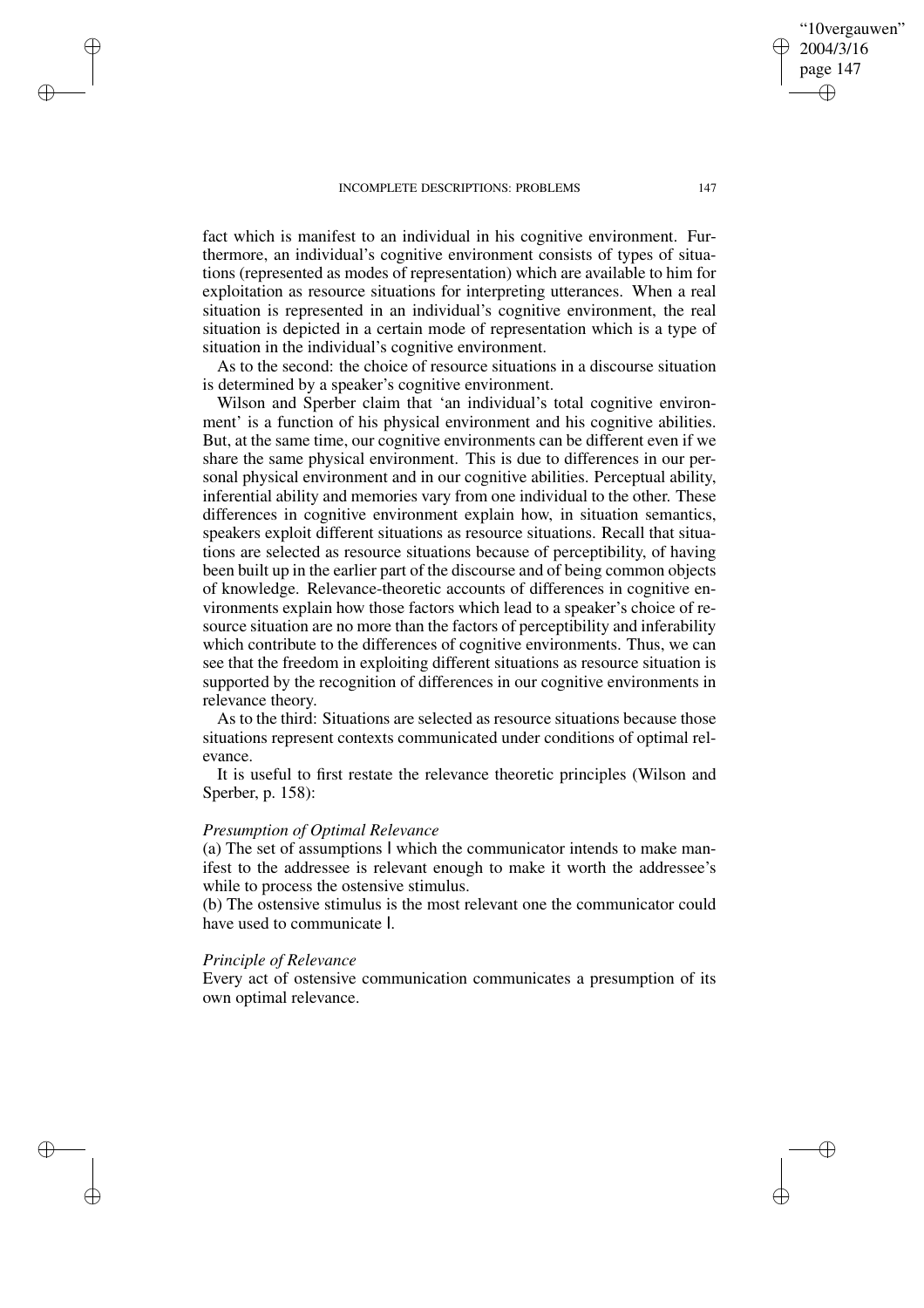fact which is manifest to an individual in his cognitive environment. Furthermore, an individual's cognitive environment consists of types of situations (represented as modes of representation) which are available to him for exploitation as resource situations for interpreting utterances. When a real situation is represented in an individual's cognitive environment, the real situation is depicted in a certain mode of representation which is a type of situation in the individual's cognitive environment.

As to the second: the choice of resource situations in a discourse situation is determined by a speaker's cognitive environment.

Wilson and Sperber claim that 'an individual's total cognitive environment' is a function of his physical environment and his cognitive abilities. But, at the same time, our cognitive environments can be different even if we share the same physical environment. This is due to differences in our personal physical environment and in our cognitive abilities. Perceptual ability, inferential ability and memories vary from one individual to the other. These differences in cognitive environment explain how, in situation semantics, speakers exploit different situations as resource situations. Recall that situations are selected as resource situations because of perceptibility, of having been built up in the earlier part of the discourse and of being common objects of knowledge. Relevance-theoretic accounts of differences in cognitive environments explain how those factors which lead to a speaker's choice of resource situation are no more than the factors of perceptibility and inferability which contribute to the differences of cognitive environments. Thus, we can see that the freedom in exploiting different situations as resource situation is supported by the recognition of differences in our cognitive environments in relevance theory.

As to the third: Situations are selected as resource situations because those situations represent contexts communicated under conditions of optimal relevance.

It is useful to first restate the relevance theoretic principles (Wilson and Sperber, p. 158):

## *Presumption of Optimal Relevance*

(a) The set of assumptions I which the communicator intends to make manifest to the addressee is relevant enough to make it worth the addressee's while to process the ostensive stimulus.

(b) The ostensive stimulus is the most relevant one the communicator could have used to communicate I.

## *Principle of Relevance*

✐

✐

✐

✐

Every act of ostensive communication communicates a presumption of its own optimal relevance.

"10vergauwen" 2004/3/16 page 147

✐

✐

✐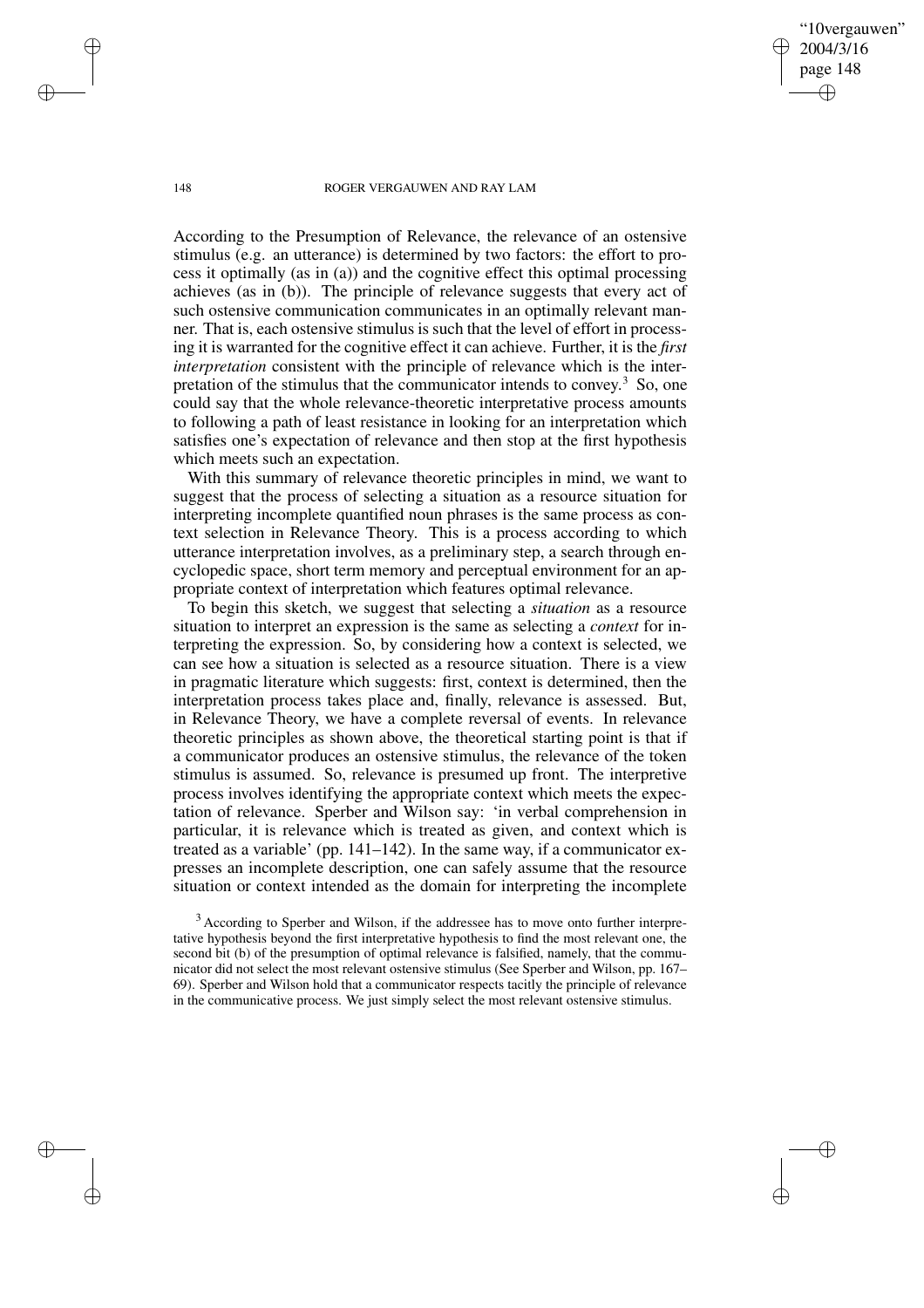## '10vergauwen" 2004/3/16 page 148 ✐ ✐

✐

✐

### 148 ROGER VERGAUWEN AND RAY LAM

According to the Presumption of Relevance, the relevance of an ostensive stimulus (e.g. an utterance) is determined by two factors: the effort to process it optimally (as in (a)) and the cognitive effect this optimal processing achieves (as in (b)). The principle of relevance suggests that every act of such ostensive communication communicates in an optimally relevant manner. That is, each ostensive stimulus is such that the level of effort in processing it is warranted for the cognitive effect it can achieve. Further, it is the *first interpretation* consistent with the principle of relevance which is the interpretation of the stimulus that the communicator intends to convey.<sup>3</sup> So, one could say that the whole relevance-theoretic interpretative process amounts to following a path of least resistance in looking for an interpretation which satisfies one's expectation of relevance and then stop at the first hypothesis which meets such an expectation.

With this summary of relevance theoretic principles in mind, we want to suggest that the process of selecting a situation as a resource situation for interpreting incomplete quantified noun phrases is the same process as context selection in Relevance Theory. This is a process according to which utterance interpretation involves, as a preliminary step, a search through encyclopedic space, short term memory and perceptual environment for an appropriate context of interpretation which features optimal relevance.

To begin this sketch, we suggest that selecting a *situation* as a resource situation to interpret an expression is the same as selecting a *context* for interpreting the expression. So, by considering how a context is selected, we can see how a situation is selected as a resource situation. There is a view in pragmatic literature which suggests: first, context is determined, then the interpretation process takes place and, finally, relevance is assessed. But, in Relevance Theory, we have a complete reversal of events. In relevance theoretic principles as shown above, the theoretical starting point is that if a communicator produces an ostensive stimulus, the relevance of the token stimulus is assumed. So, relevance is presumed up front. The interpretive process involves identifying the appropriate context which meets the expectation of relevance. Sperber and Wilson say: 'in verbal comprehension in particular, it is relevance which is treated as given, and context which is treated as a variable' (pp. 141–142). In the same way, if a communicator expresses an incomplete description, one can safely assume that the resource situation or context intended as the domain for interpreting the incomplete

<sup>3</sup> According to Sperber and Wilson, if the addressee has to move onto further interpretative hypothesis beyond the first interpretative hypothesis to find the most relevant one, the second bit (b) of the presumption of optimal relevance is falsified, namely, that the communicator did not select the most relevant ostensive stimulus (See Sperber and Wilson, pp. 167– 69). Sperber and Wilson hold that a communicator respects tacitly the principle of relevance in the communicative process. We just simply select the most relevant ostensive stimulus.

✐

✐

✐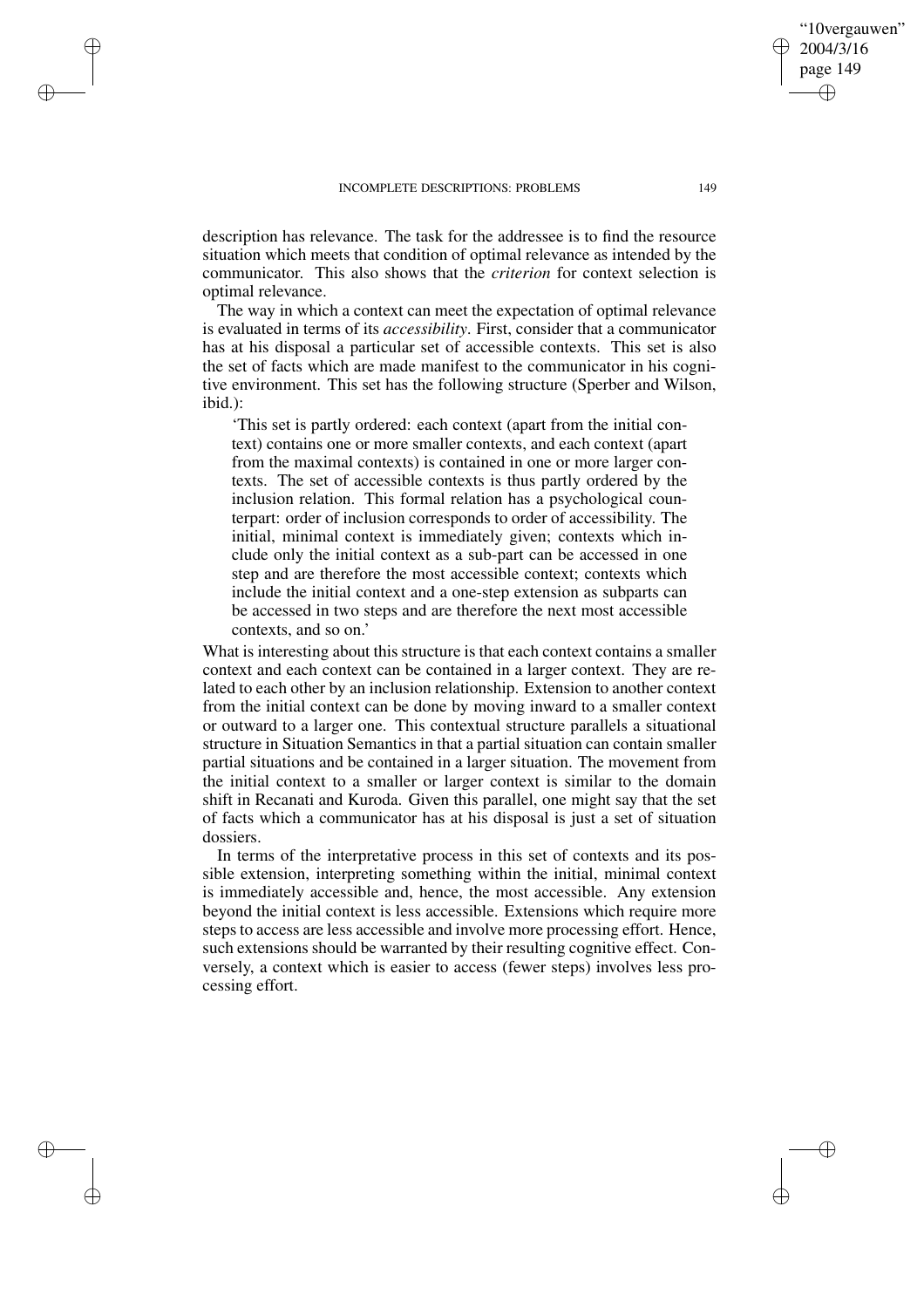✐

✐

✐

✐

description has relevance. The task for the addressee is to find the resource situation which meets that condition of optimal relevance as intended by the communicator. This also shows that the *criterion* for context selection is optimal relevance.

The way in which a context can meet the expectation of optimal relevance is evaluated in terms of its *accessibility*. First, consider that a communicator has at his disposal a particular set of accessible contexts. This set is also the set of facts which are made manifest to the communicator in his cognitive environment. This set has the following structure (Sperber and Wilson, ibid.):

'This set is partly ordered: each context (apart from the initial context) contains one or more smaller contexts, and each context (apart from the maximal contexts) is contained in one or more larger contexts. The set of accessible contexts is thus partly ordered by the inclusion relation. This formal relation has a psychological counterpart: order of inclusion corresponds to order of accessibility. The initial, minimal context is immediately given; contexts which include only the initial context as a sub-part can be accessed in one step and are therefore the most accessible context; contexts which include the initial context and a one-step extension as subparts can be accessed in two steps and are therefore the next most accessible contexts, and so on.'

What is interesting about this structure is that each context contains a smaller context and each context can be contained in a larger context. They are related to each other by an inclusion relationship. Extension to another context from the initial context can be done by moving inward to a smaller context or outward to a larger one. This contextual structure parallels a situational structure in Situation Semantics in that a partial situation can contain smaller partial situations and be contained in a larger situation. The movement from the initial context to a smaller or larger context is similar to the domain shift in Recanati and Kuroda. Given this parallel, one might say that the set of facts which a communicator has at his disposal is just a set of situation dossiers.

In terms of the interpretative process in this set of contexts and its possible extension, interpreting something within the initial, minimal context is immediately accessible and, hence, the most accessible. Any extension beyond the initial context is less accessible. Extensions which require more steps to access are less accessible and involve more processing effort. Hence, such extensions should be warranted by their resulting cognitive effect. Conversely, a context which is easier to access (fewer steps) involves less processing effort.

"10vergauwen" 2004/3/16 page 149

✐

✐

✐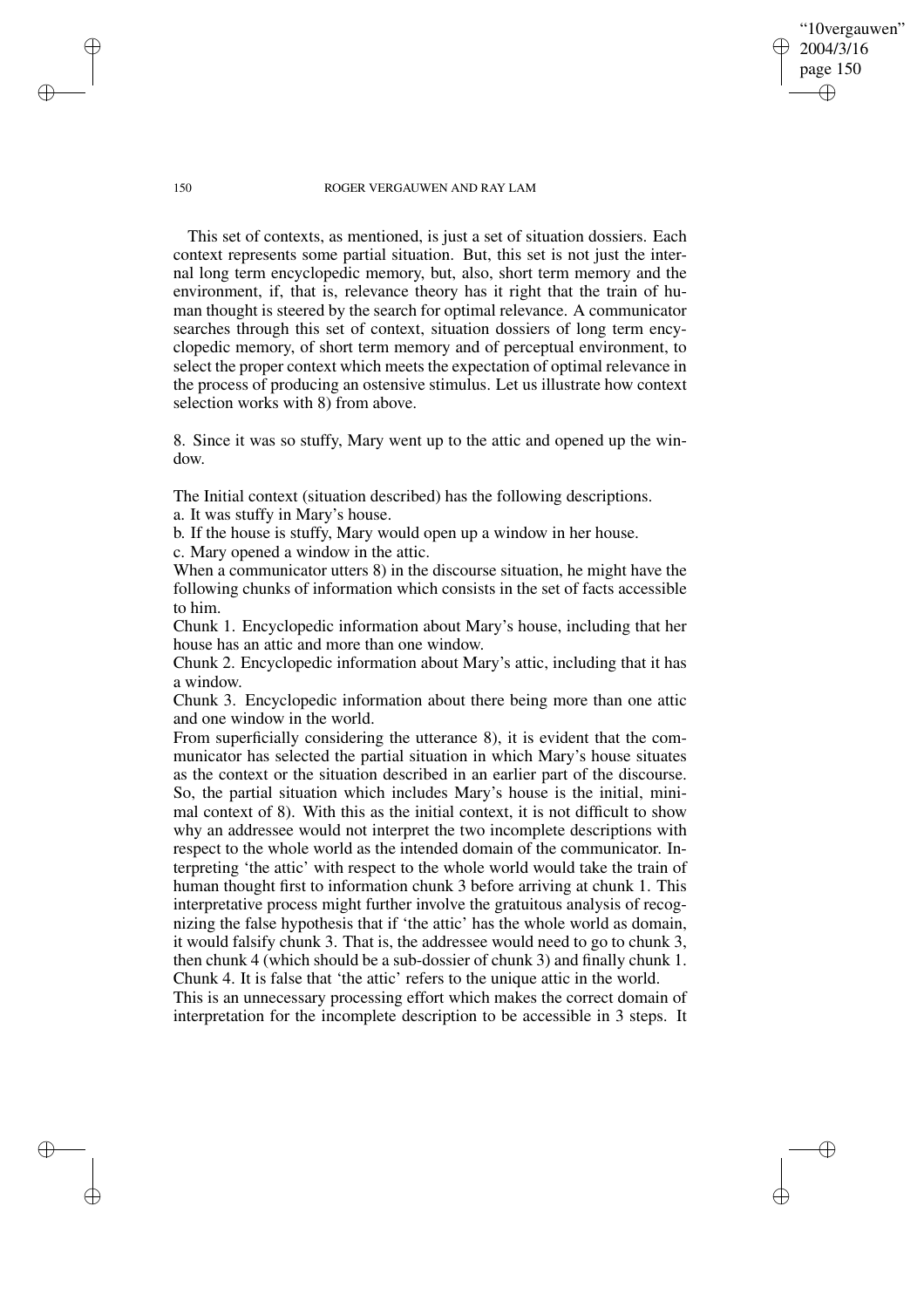"10vergauwen" 2004/3/16 page 150

✐

✐

✐

✐

This set of contexts, as mentioned, is just a set of situation dossiers. Each context represents some partial situation. But, this set is not just the internal long term encyclopedic memory, but, also, short term memory and the environment, if, that is, relevance theory has it right that the train of human thought is steered by the search for optimal relevance. A communicator searches through this set of context, situation dossiers of long term encyclopedic memory, of short term memory and of perceptual environment, to select the proper context which meets the expectation of optimal relevance in the process of producing an ostensive stimulus. Let us illustrate how context selection works with 8) from above.

8. Since it was so stuffy, Mary went up to the attic and opened up the window.

The Initial context (situation described) has the following descriptions.

a. It was stuffy in Mary's house.

b. If the house is stuffy, Mary would open up a window in her house.

c. Mary opened a window in the attic.

When a communicator utters 8) in the discourse situation, he might have the following chunks of information which consists in the set of facts accessible to him.

Chunk 1. Encyclopedic information about Mary's house, including that her house has an attic and more than one window.

Chunk 2. Encyclopedic information about Mary's attic, including that it has a window.

Chunk 3. Encyclopedic information about there being more than one attic and one window in the world.

From superficially considering the utterance 8), it is evident that the communicator has selected the partial situation in which Mary's house situates as the context or the situation described in an earlier part of the discourse. So, the partial situation which includes Mary's house is the initial, minimal context of 8). With this as the initial context, it is not difficult to show why an addressee would not interpret the two incomplete descriptions with respect to the whole world as the intended domain of the communicator. Interpreting 'the attic' with respect to the whole world would take the train of human thought first to information chunk 3 before arriving at chunk 1. This interpretative process might further involve the gratuitous analysis of recognizing the false hypothesis that if 'the attic' has the whole world as domain, it would falsify chunk 3. That is, the addressee would need to go to chunk 3, then chunk 4 (which should be a sub-dossier of chunk 3) and finally chunk 1. Chunk 4. It is false that 'the attic' refers to the unique attic in the world.

This is an unnecessary processing effort which makes the correct domain of interpretation for the incomplete description to be accessible in 3 steps. It

✐

✐

✐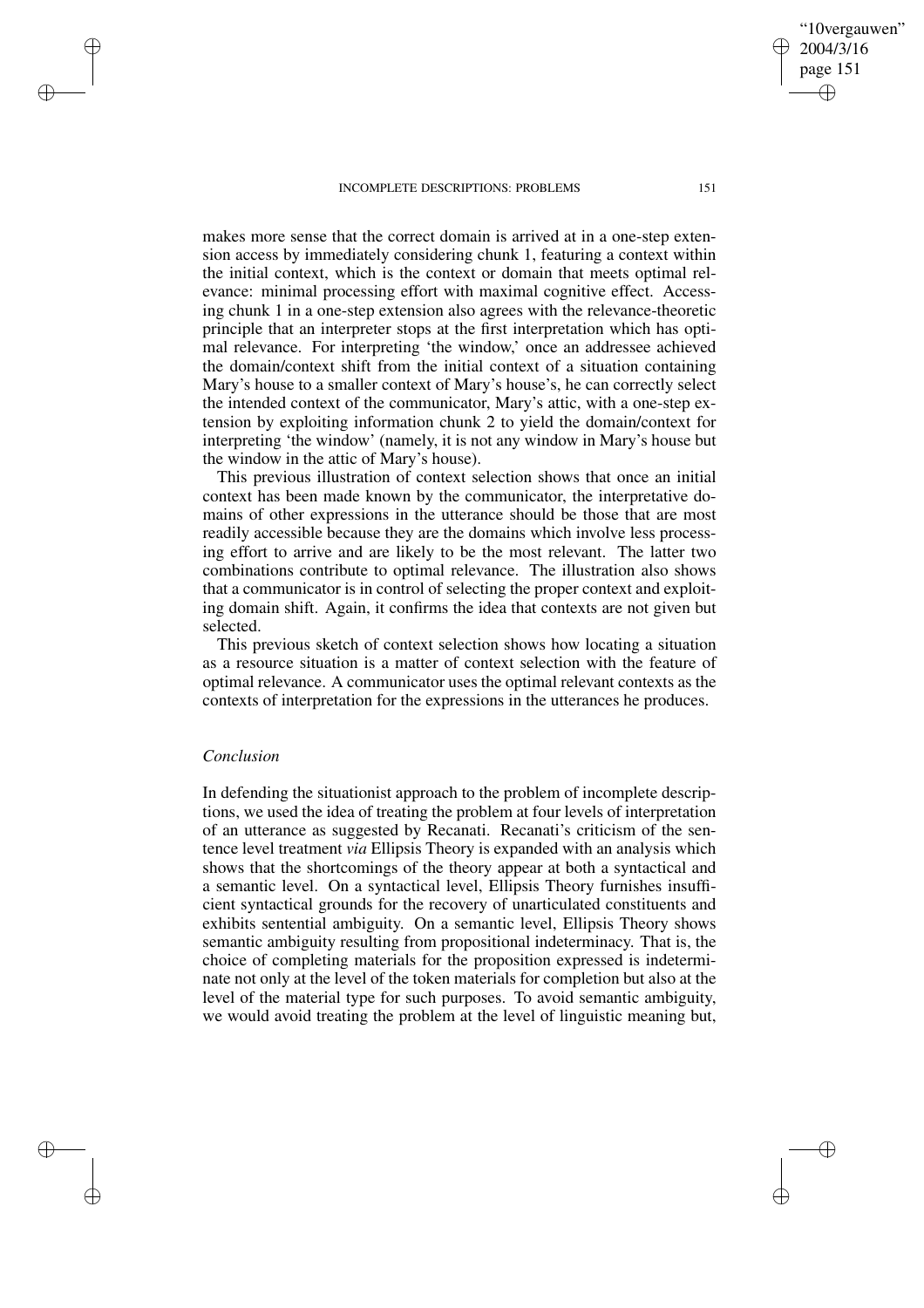makes more sense that the correct domain is arrived at in a one-step extension access by immediately considering chunk 1, featuring a context within the initial context, which is the context or domain that meets optimal relevance: minimal processing effort with maximal cognitive effect. Accessing chunk 1 in a one-step extension also agrees with the relevance-theoretic principle that an interpreter stops at the first interpretation which has optimal relevance. For interpreting 'the window,' once an addressee achieved the domain/context shift from the initial context of a situation containing Mary's house to a smaller context of Mary's house's, he can correctly select the intended context of the communicator, Mary's attic, with a one-step extension by exploiting information chunk 2 to yield the domain/context for interpreting 'the window' (namely, it is not any window in Mary's house but the window in the attic of Mary's house).

This previous illustration of context selection shows that once an initial context has been made known by the communicator, the interpretative domains of other expressions in the utterance should be those that are most readily accessible because they are the domains which involve less processing effort to arrive and are likely to be the most relevant. The latter two combinations contribute to optimal relevance. The illustration also shows that a communicator is in control of selecting the proper context and exploiting domain shift. Again, it confirms the idea that contexts are not given but selected.

This previous sketch of context selection shows how locating a situation as a resource situation is a matter of context selection with the feature of optimal relevance. A communicator uses the optimal relevant contexts as the contexts of interpretation for the expressions in the utterances he produces.

# *Conclusion*

✐

✐

✐

✐

In defending the situationist approach to the problem of incomplete descriptions, we used the idea of treating the problem at four levels of interpretation of an utterance as suggested by Recanati. Recanati's criticism of the sentence level treatment *via* Ellipsis Theory is expanded with an analysis which shows that the shortcomings of the theory appear at both a syntactical and a semantic level. On a syntactical level, Ellipsis Theory furnishes insufficient syntactical grounds for the recovery of unarticulated constituents and exhibits sentential ambiguity. On a semantic level, Ellipsis Theory shows semantic ambiguity resulting from propositional indeterminacy. That is, the choice of completing materials for the proposition expressed is indeterminate not only at the level of the token materials for completion but also at the level of the material type for such purposes. To avoid semantic ambiguity, we would avoid treating the problem at the level of linguistic meaning but,

"10vergauwen" 2004/3/16 page 151 ✐ ✐

✐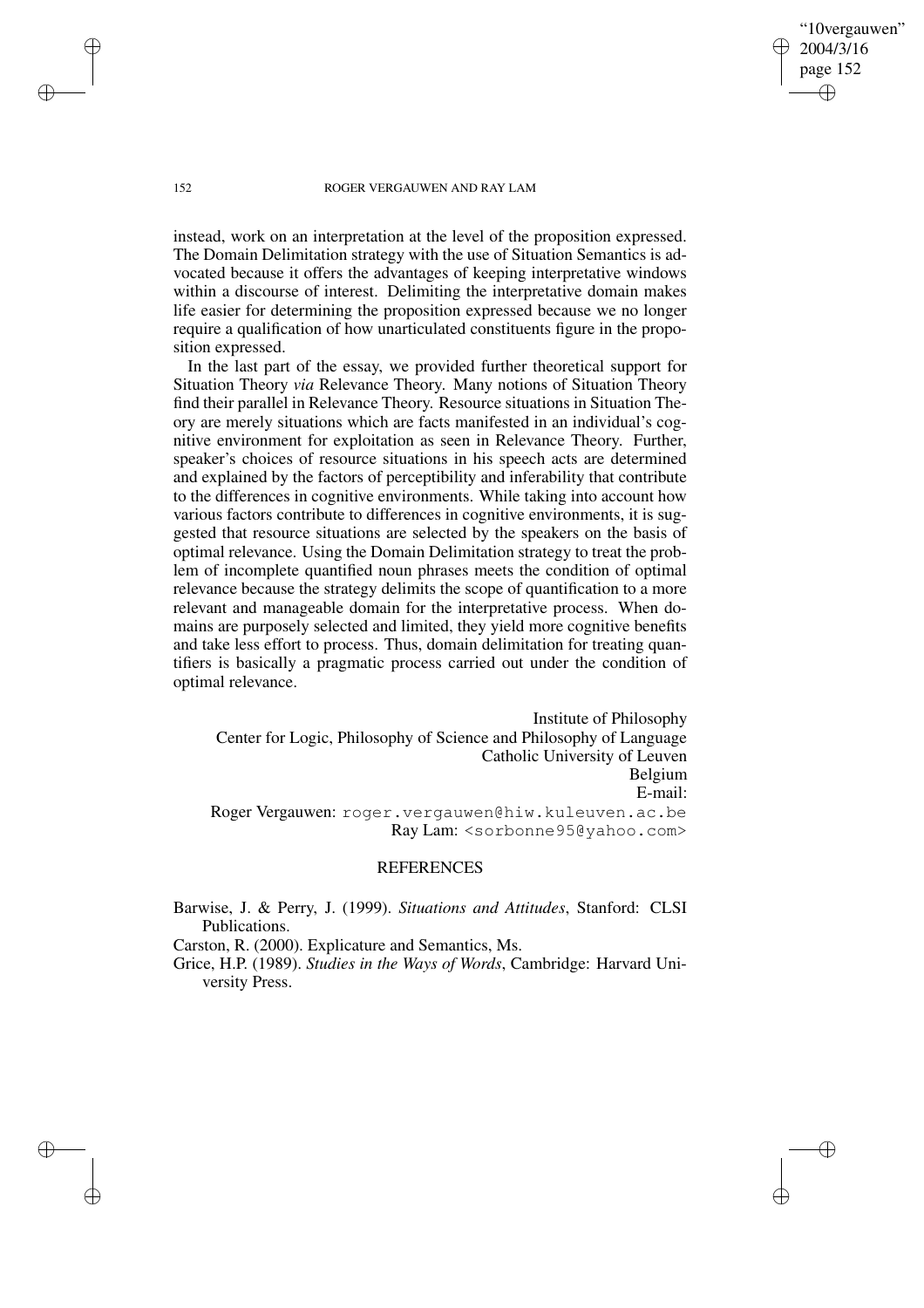"10vergauwen" 2004/3/16 page 152

✐

✐

✐

✐

instead, work on an interpretation at the level of the proposition expressed. The Domain Delimitation strategy with the use of Situation Semantics is advocated because it offers the advantages of keeping interpretative windows within a discourse of interest. Delimiting the interpretative domain makes life easier for determining the proposition expressed because we no longer require a qualification of how unarticulated constituents figure in the proposition expressed.

In the last part of the essay, we provided further theoretical support for Situation Theory *via* Relevance Theory. Many notions of Situation Theory find their parallel in Relevance Theory. Resource situations in Situation Theory are merely situations which are facts manifested in an individual's cognitive environment for exploitation as seen in Relevance Theory. Further, speaker's choices of resource situations in his speech acts are determined and explained by the factors of perceptibility and inferability that contribute to the differences in cognitive environments. While taking into account how various factors contribute to differences in cognitive environments, it is suggested that resource situations are selected by the speakers on the basis of optimal relevance. Using the Domain Delimitation strategy to treat the problem of incomplete quantified noun phrases meets the condition of optimal relevance because the strategy delimits the scope of quantification to a more relevant and manageable domain for the interpretative process. When domains are purposely selected and limited, they yield more cognitive benefits and take less effort to process. Thus, domain delimitation for treating quantifiers is basically a pragmatic process carried out under the condition of optimal relevance.

Institute of Philosophy Center for Logic, Philosophy of Science and Philosophy of Language Catholic University of Leuven Belgium E-mail: Roger Vergauwen: roger.vergauwen@hiw.kuleuven.ac.be Ray Lam: <sorbonne95@yahoo.com>

## REFERENCES

Barwise, J. & Perry, J. (1999). *Situations and Attitudes*, Stanford: CLSI Publications.

Carston, R. (2000). Explicature and Semantics, Ms.

Grice, H.P. (1989). *Studies in the Ways of Words*, Cambridge: Harvard University Press.

✐

✐

✐